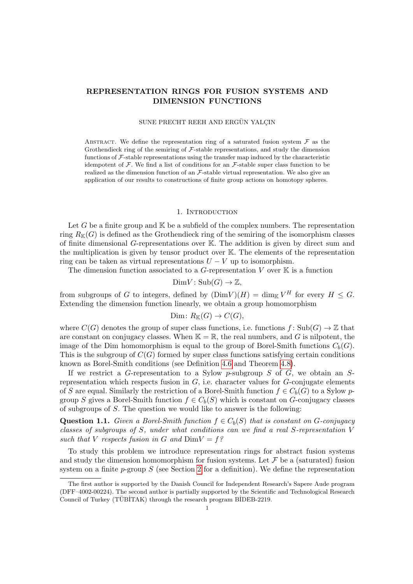# REPRESENTATION RINGS FOR FUSION SYSTEMS AND DIMENSION FUNCTIONS

### SUNE PRECHT REEH AND ERGÜN YALÇIN

ABSTRACT. We define the representation ring of a saturated fusion system  $\mathcal F$  as the Grothendieck ring of the semiring of  $\mathcal F$ -stable representations, and study the dimension functions of F-stable representations using the transfer map induced by the characteristic idempotent of F. We find a list of conditions for an  $\mathcal{F}\text{-stable}$  super class function to be realized as the dimension function of an  $\mathcal{F}\text{-stable}$  virtual representation. We also give an application of our results to constructions of finite group actions on homotopy spheres.

### 1. INTRODUCTION

Let G be a finite group and  $\mathbb K$  be a subfield of the complex numbers. The representation ring  $R_{\mathbb{K}}(G)$  is defined as the Grothendieck ring of the semiring of the isomorphism classes of finite dimensional G-representations over K. The addition is given by direct sum and the multiplication is given by tensor product over K. The elements of the representation ring can be taken as virtual representations  $U - V$  up to isomorphism.

The dimension function associated to a G-representation V over  $\mathbb K$  is a function

$$
DimV: Sub(G) \to \mathbb{Z},
$$

from subgroups of G to integers, defined by  $(DimV)(H) = \dim_{\mathbb{K}} V^H$  for every  $H \leq G$ . Extending the dimension function linearly, we obtain a group homomorphism

$$
Dim\colon R_{K}(G)\to C(G),
$$

where  $C(G)$  denotes the group of super class functions, i.e. functions  $f: Sub(G) \to \mathbb{Z}$  that are constant on conjugacy classes. When  $\mathbb{K} = \mathbb{R}$ , the real numbers, and G is nilpotent, the image of the Dim homomorphism is equal to the group of Borel-Smith functions  $C_b(G)$ . This is the subgroup of  $C(G)$  formed by super class functions satisfying certain conditions known as Borel-Smith conditions (see Definition [4.6](#page-11-0) and Theorem [4.8\)](#page-12-0).

If we restrict a G-representation to a Sylow p-subgroup  $S$  of  $G$ , we obtain an  $S$ representation which respects fusion in  $G$ , i.e. character values for  $G$ -conjugate elements of S are equal. Similarly the restriction of a Borel-Smith function  $f \in C_b(G)$  to a Sylow pgroup S gives a Borel-Smith function  $f \in C_b(S)$  which is constant on G-conjugacy classes of subgroups of S. The question we would like to answer is the following:

<span id="page-0-0"></span>Question 1.1. Given a Borel-Smith function  $f \in C_b(S)$  that is constant on G-conjugacy classes of subgroups of S, under what conditions can we find a real S-representation V such that V respects fusion in G and  $DimV = f$ ?

To study this problem we introduce representation rings for abstract fusion systems and study the dimension homomorphism for fusion systems. Let  $\mathcal F$  be a (saturated) fusion system on a finite  $p$ -group S (see Section [2](#page-2-0) for a definition). We define the representation

The first author is supported by the Danish Council for Independent Research's Sapere Aude program (DFF–4002-00224). The second author is partially supported by the Scientific and Technological Research Council of Turkey (TÜBİTAK) through the research program BİDEB-2219.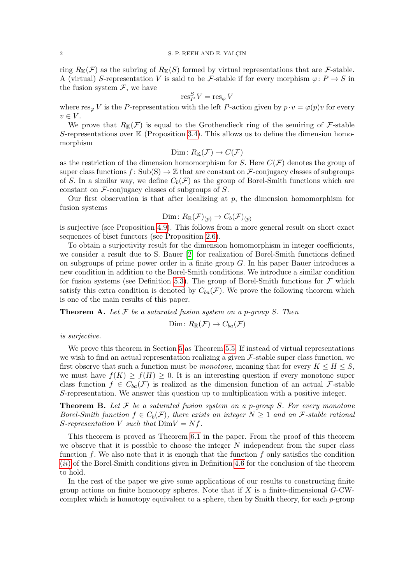ring  $R_{\mathbb{K}}(\mathcal{F})$  as the subring of  $R_{\mathbb{K}}(S)$  formed by virtual representations that are  $\mathcal{F}\text{-stable}$ . A (virtual) S-representation V is said to be F-stable if for every morphism  $\varphi: P \to S$  in the fusion system  $\mathcal{F}$ , we have

$$
\operatorname{res}^S_P V = \operatorname{res}_{\varphi} V
$$

where  $res_{\varphi} V$  is the P-representation with the left P-action given by  $p \cdot v = \varphi(p)v$  for every  $v \in V$ .

We prove that  $R_{\mathbb{K}}(\mathcal{F})$  is equal to the Grothendieck ring of the semiring of  $\mathcal{F}$ -stable S-representations over  $K$  (Proposition [3.4\)](#page-7-0). This allows us to define the dimension homomorphism

$$
Dim\colon R_{\mathbb{K}}(\mathcal{F})\to C(\mathcal{F})
$$

as the restriction of the dimension homomorphism for S. Here  $C(\mathcal{F})$  denotes the group of super class functions  $f: Sub(S) \to \mathbb{Z}$  that are constant on F-conjugacy classes of subgroups of S. In a similar way, we define  $C_b(\mathcal{F})$  as the group of Borel-Smith functions which are constant on  $\mathcal F$ -conjugacy classes of subgroups of  $S$ .

Our first observation is that after localizing at  $p$ , the dimension homomorphism for fusion systems

$$
\text{Dim} \colon R_{\mathbb{R}}(\mathcal{F})_{(p)} \to C_b(\mathcal{F})_{(p)}
$$

is surjective (see Proposition [4.9\)](#page-12-1). This follows from a more general result on short exact sequences of biset functors (see Proposition [2.6\)](#page-5-0).

To obtain a surjectivity result for the dimension homomorphism in integer coefficients, we consider a result due to S. Bauer [\[2\]](#page-20-0) for realization of Borel-Smith functions defined on subgroups of prime power order in a finite group G. In his paper Bauer introduces a new condition in addition to the Borel-Smith conditions. We introduce a similar condition for fusion systems (see Definition [5.3\)](#page-13-0). The group of Borel-Smith functions for  $\mathcal F$  which satisfy this extra condition is denoted by  $C_{ba}(\mathcal{F})$ . We prove the following theorem which is one of the main results of this paper.

**Theorem A.** Let  $\mathcal F$  be a saturated fusion system on a p-group S. Then

$$
Dim\colon R_{\mathbb{R}}(\mathcal{F})\to C_{ba}(\mathcal{F})
$$

is surjective.

We prove this theorem in Section [5](#page-12-2) as Theorem [5.5.](#page-14-0) If instead of virtual representations we wish to find an actual representation realizing a given  $\mathcal F$ -stable super class function, we first observe that such a function must be monotone, meaning that for every  $K \leq H \leq S$ , we must have  $f(K) \geq f(H) \geq 0$ . It is an interesting question if every monotone super class function  $f \in C_{ba}(\mathcal{F})$  is realized as the dimension function of an actual  $\mathcal{F}$ -stable S-representation. We answer this question up to multiplication with a positive integer.

**Theorem B.** Let  $\mathcal F$  be a saturated fusion system on a p-group S. For every monotone Borel-Smith function  $f \in C_b(\mathcal{F})$ , there exists an integer  $N \geq 1$  and an  $\mathcal{F}$ -stable rational S-representation V such that  $DimV = Nf$ .

This theorem is proved as Theorem [6.1](#page-15-0) in the paper. From the proof of this theorem we observe that it is possible to choose the integer  $N$  independent from the super class function f. We also note that it is enough that the function f only satisfies the condition ([ii](#page-11-1)) of the Borel-Smith conditions given in Definition [4.6](#page-11-0) for the conclusion of the theorem to hold.

In the rest of the paper we give some applications of our results to constructing finite group actions on finite homotopy spheres. Note that if  $X$  is a finite-dimensional  $G$ -CWcomplex which is homotopy equivalent to a sphere, then by Smith theory, for each  $p$ -group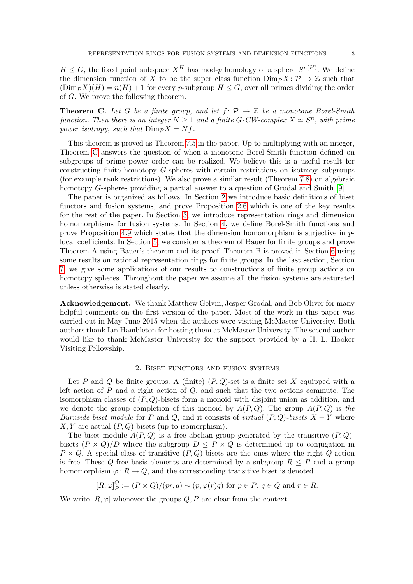$H \leq G$ , the fixed point subspace  $X^H$  has mod-p homology of a sphere  $S^{\underline{n}(H)}$ . We define the dimension function of X to be the super class function  $\text{Dim}_{\mathcal{P}} X\colon \mathcal{P} \to \mathbb{Z}$  such that  $(\text{Dim}_{\mathcal{P}}X)(H) = n(H) + 1$  for every p-subgroup  $H \leq G$ , over all primes dividing the order of G. We prove the following theorem.

<span id="page-2-1"></span>**Theorem C.** Let G be a finite group, and let  $f: \mathcal{P} \to \mathbb{Z}$  be a monotone Borel-Smith function. Then there is an integer  $N \geq 1$  and a finite G-CW-complex  $X \simeq S^n$ , with prime power isotropy, such that  $\text{Dim}_{\mathcal{P}} X = Nf$ .

This theorem is proved as Theorem [7.5](#page-18-0) in the paper. Up to multiplying with an integer, Theorem [C](#page-2-1) answers the question of when a monotone Borel-Smith function defined on subgroups of prime power order can be realized. We believe this is a useful result for constructing finite homotopy G-spheres with certain restrictions on isotropy subgroups (for example rank restrictions). We also prove a similar result (Theorem [7.8\)](#page-20-1) on algebraic homotopy G-spheres providing a partial answer to a question of Grodal and Smith [\[9\]](#page-20-2).

The paper is organized as follows: In Section [2](#page-2-0) we introduce basic definitions of biset functors and fusion systems, and prove Proposition [2.6](#page-5-0) which is one of the key results for the rest of the paper. In Section [3,](#page-6-0) we introduce representation rings and dimension homomorphisms for fusion systems. In Section [4,](#page-9-0) we define Borel-Smith functions and prove Proposition [4.9](#page-12-1) which states that the dimension homomorphism is surjective in plocal coefficients. In Section [5,](#page-12-2) we consider a theorem of Bauer for finite groups and prove Theorem A using Bauer's theorem and its proof. Theorem B is proved in Section [6](#page-15-1) using some results on rational representation rings for finite groups. In the last section, Section [7,](#page-17-0) we give some applications of our results to constructions of finite group actions on homotopy spheres. Throughout the paper we assume all the fusion systems are saturated unless otherwise is stated clearly.

Acknowledgement. We thank Matthew Gelvin, Jesper Grodal, and Bob Oliver for many helpful comments on the first version of the paper. Most of the work in this paper was carried out in May-June 2015 when the authors were visiting McMaster University. Both authors thank Ian Hambleton for hosting them at McMaster University. The second author would like to thank McMaster University for the support provided by a H. L. Hooker Visiting Fellowship.

## 2. Biset functors and fusion systems

<span id="page-2-0"></span>Let P and Q be finite groups. A (finite)  $(P,Q)$ -set is a finite set X equipped with a left action of  $P$  and a right action of  $Q$ , and such that the two actions commute. The isomorphism classes of  $(P, Q)$ -bisets form a monoid with disjoint union as addition, and we denote the group completion of this monoid by  $A(P,Q)$ . The group  $A(P,Q)$  is the Burnside biset module for P and Q, and it consists of virtual  $(P,Q)$ -bisets  $X - Y$  where  $X, Y$  are actual  $(P, Q)$ -bisets (up to isomorphism).

The biset module  $A(P,Q)$  is a free abelian group generated by the transitive  $(P,Q)$ bisets  $(P \times Q)/D$  where the subgroup  $D \leq P \times Q$  is determined up to conjugation in  $P \times Q$ . A special class of transitive  $(P, Q)$ -bisets are the ones where the right  $Q$ -action is free. These Q-free basis elements are determined by a subgroup  $R \leq P$  and a group homomorphism  $\varphi: R \to Q$ , and the corresponding transitive biset is denoted

$$
[R,\varphi]_P^Q := (P \times Q)/(pr,q) \sim (p,\varphi(r)q) \text{ for } p \in P, q \in Q \text{ and } r \in R.
$$

We write  $[R, \varphi]$  whenever the groups  $Q, P$  are clear from the context.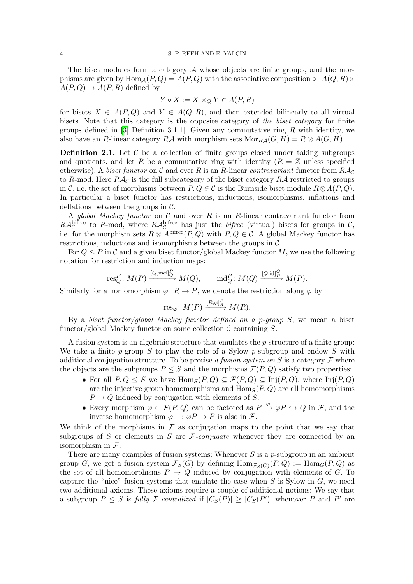The biset modules form a category  $A$  whose objects are finite groups, and the morphisms are given by  $\text{Hom}_{\mathcal{A}}(P,Q) = A(P,Q)$  with the associative composition  $\circ: A(Q,R) \times$  $A(P,Q) \rightarrow A(P,R)$  defined by

$$
Y \circ X := X \times_Q Y \in A(P, R)
$$

for bisets  $X \in A(P,Q)$  and  $Y \in A(Q,R)$ , and then extended bilinearly to all virtual bisets. Note that this category is the opposite category of the biset category for finite groups defined in [\[3,](#page-20-3) Definition 3.1.1]. Given any commutative ring R with identity, we also have an R-linear category RA with morphism sets  $\text{Mor}_{R\mathcal{A}}(G, H) = R \otimes A(G, H)$ .

**Definition 2.1.** Let  $\mathcal{C}$  be a collection of finite groups closed under taking subgroups and quotients, and let R be a commutative ring with identity  $(R = \mathbb{Z}$  unless specified otherwise). A biset functor on C and over R is an R-linear contravariant functor from  $R\mathcal{A}_{\mathcal{C}}$ to R-mod. Here  $RA_C$  is the full subcategory of the biset category  $RA$  restricted to groups in C, i.e. the set of morphisms between  $P, Q \in \mathcal{C}$  is the Burnside biset module  $R \otimes A(P, Q)$ . In particular a biset functor has restrictions, inductions, isomorphisms, inflations and deflations between the groups in  $\mathcal{C}$ .

A global Mackey functor on  $\mathcal C$  and over  $R$  is an  $R$ -linear contravariant functor from  $R\mathcal{A}_{\mathcal{C}}^{\text{bifree}}$  to R-mod, where  $R\mathcal{A}_{\mathcal{C}}^{\text{bifree}}$  has just the *bifree* (virtual) bisets for groups in C, i.e. for the morphism sets  $R \otimes A^{bifree}(P, Q)$  with  $P, Q \in \mathcal{C}$ . A global Mackey functor has restrictions, inductions and isomorphisms between the groups in C.

For  $Q \leq P$  in C and a given biset functor/global Mackey functor M, we use the following notation for restriction and induction maps:

$$
\operatorname{res}_Q^P\colon M(P) \xrightarrow{[Q,\operatorname{incl}]^P_Q} M(Q), \qquad \operatorname{ind}_Q^P\colon M(Q) \xrightarrow{[Q,\operatorname{id}]^Q_P} M(P).
$$

Similarly for a homomorphism  $\varphi: R \to P$ , we denote the restriction along  $\varphi$  by

$$
\operatorname{res}_{\varphi} \colon M(P) \xrightarrow{[R,\varphi]_R^P} M(R).
$$

By a biset functor/global Mackey functor defined on a p-group  $S$ , we mean a biset functor/global Mackey functor on some collection  $\mathcal C$  containing  $S$ .

A fusion system is an algebraic structure that emulates the p-structure of a finite group: We take a finite p-group S to play the role of a Sylow p-subgroup and endow S with additional conjugation structure. To be precise a fusion system on S is a category  $\mathcal F$  where the objects are the subgroups  $P \leq S$  and the morphisms  $\mathcal{F}(P,Q)$  satisfy two properties:

- For all  $P,Q \leq S$  we have  $\text{Hom}_S(P,Q) \subseteq \mathcal{F}(P,Q) \subseteq \text{Inj}(P,Q)$ , where  $\text{Inj}(P,Q)$ are the injective group homomorphisms and  $\text{Hom}_S(P, Q)$  are all homomorphisms  $P \rightarrow Q$  induced by conjugation with elements of S.
- Every morphism  $\varphi \in \mathcal{F}(P,Q)$  can be factored as  $P \stackrel{\varphi}{\to} \varphi P \hookrightarrow Q$  in  $\mathcal{F}$ , and the inverse homomorphism  $\varphi^{-1}$ :  $\varphi P \to P$  is also in F.

We think of the morphisms in  $\mathcal F$  as conjugation maps to the point that we say that subgroups of S or elements in S are  $\mathcal{F}-conjugate$  whenever they are connected by an isomorphism in  $\mathcal{F}$ .

There are many examples of fusion systems: Whenever  $S$  is a  $p$ -subgroup in an ambient group G, we get a fusion system  $\mathcal{F}_S(G)$  by defining  $\text{Hom}_{\mathcal{F}_S(G)}(P,Q) := \text{Hom}_G(P,Q)$  as the set of all homomorphisms  $P \to Q$  induced by conjugation with elements of G. To capture the "nice" fusion systems that emulate the case when  $S$  is Sylow in  $G$ , we need two additional axioms. These axioms require a couple of additional notions: We say that a subgroup  $P \leq S$  is fully F-centralized if  $|C_S(P)| \geq |C_S(P')|$  whenever P and P' are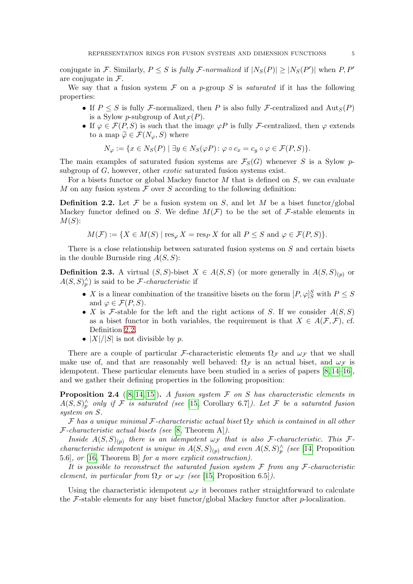conjugate in F. Similarly,  $P \leq S$  is fully F-normalized if  $|N_S(P)| \geq |N_S(P')|$  when  $P, P'$ are conjugate in  $\mathcal{F}$ .

We say that a fusion system  $\mathcal F$  on a p-group S is *saturated* if it has the following properties:

- If  $P \leq S$  is fully F-normalized, then P is also fully F-centralized and  $\text{Aut}_S(P)$ is a Sylow p-subgroup of  $\text{Aut}_{\mathcal{F}}(P)$ .
- If  $\varphi \in \mathcal{F}(P, S)$  is such that the image  $\varphi P$  is fully F-centralized, then  $\varphi$  extends to a map  $\widetilde{\varphi} \in \mathcal{F}(N_{\varphi}, S)$  where

$$
N_{\varphi} := \{ x \in N_S(P) \mid \exists y \in N_S(\varphi P) \colon \varphi \circ c_x = c_y \circ \varphi \in \mathcal{F}(P,S) \}.
$$

The main examples of saturated fusion systems are  $\mathcal{F}_S(G)$  whenever S is a Sylow psubgroup of G, however, other *exotic* saturated fusion systems exist.

For a bisets functor or global Mackey functor  $M$  that is defined on  $S$ , we can evaluate M on any fusion system  $\mathcal F$  over S according to the following definition:

<span id="page-4-0"></span>**Definition 2.2.** Let F be a fusion system on S, and let M be a biset functor/global Mackey functor defined on S. We define  $M(F)$  to be the set of F-stable elements in  $M(S)$ :

$$
M(\mathcal{F}) := \{ X \in M(S) \mid \text{res}_{\varphi} X = \text{res}_P X \text{ for all } P \leq S \text{ and } \varphi \in \mathcal{F}(P, S) \}.
$$

There is a close relationship between saturated fusion systems on S and certain bisets in the double Burnside ring  $A(S, S)$ :

**Definition 2.3.** A virtual  $(S, S)$ -biset  $X \in A(S, S)$  (or more generally in  $A(S, S)_{(p)}$  or  $A(S, S)<sub>p</sub><sup>\wedge</sup>$  is said to be *F*-*characteristic* if

- X is a linear combination of the transitive bisets on the form  $[P, \varphi]_S^S$  with  $P \leq S$ and  $\varphi \in \mathcal{F}(P,S)$ .
- X is F-stable for the left and the right actions of S. If we consider  $A(S, S)$ as a biset functor in both variables, the requirement is that  $X \in A(\mathcal{F}, \mathcal{F})$ , cf. Definition [2.2.](#page-4-0)
- $|X|/|S|$  is not divisible by p.

There are a couple of particular F-characteristic elements  $\Omega_F$  and  $\omega_F$  that we shall make use of, and that are reasonably well behaved:  $\Omega_F$  is an actual biset, and  $\omega_F$  is idempotent. These particular elements have been studied in a series of papers [\[8,](#page-20-4) [14–](#page-20-5)[16\]](#page-20-6), and we gather their defining properties in the following proposition:

**Proposition 2.4** ([\[8,](#page-20-4) [14,](#page-20-5) [15\]](#page-20-7)). A fusion system  $\mathcal F$  on  $S$  has characteristic elements in  $A(S, S)_{p}^{\wedge}$  only if F is saturated (see [\[15,](#page-20-7) Corollary 6.7]). Let F be a saturated fusion system on S.

F has a unique minimal F-characteristic actual biset  $\Omega_F$  which is contained in all other  $\mathcal{F}\text{-}characteristic actual bisets (see [8, Theorem A]).$  $\mathcal{F}\text{-}characteristic actual bisets (see [8, Theorem A]).$  $\mathcal{F}\text{-}characteristic actual bisets (see [8, Theorem A]).$ 

Inside  $A(S, S)_{(p)}$  there is an idempotent  $\omega_{\mathcal{F}}$  that is also F-characteristic. This F*characteristic idempotent is unique in*  $A(S, S)_{(p)}$  and even  $A(S, S)_{p}^{\wedge}$  (see [\[14,](#page-20-5) Proposition 5.6], or [\[16,](#page-20-6) Theorem B] for a more explicit construction).

It is possible to reconstruct the saturated fusion system  $\mathcal F$  from any  $\mathcal F$ -characteristic element, in particular from  $\Omega_{\mathcal{F}}$  or  $\omega_{\mathcal{F}}$  (see [\[15,](#page-20-7) Proposition 6.5]).

Using the characteristic idempotent  $\omega_{\mathcal{F}}$  it becomes rather straightforward to calculate the  $\mathcal{F}\text{-stable}$  elements for any biset functor/global Mackey functor after p-localization.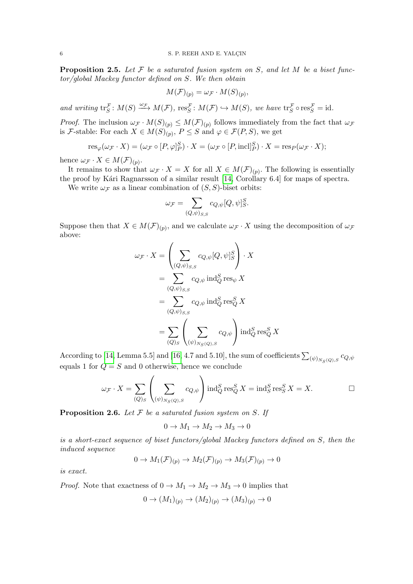<span id="page-5-1"></span>**Proposition 2.5.** Let  $\mathcal F$  be a saturated fusion system on  $S$ , and let  $M$  be a biset functor/global Mackey functor defined on S. We then obtain

$$
M(\mathcal{F})_{(p)} = \omega_{\mathcal{F}} \cdot M(S)_{(p)},
$$

and writing  $\operatorname{tr}_S^{\mathcal{F}}: M(S) \xrightarrow{\omega_{\mathcal{F}}} M(\mathcal{F}), \operatorname{res}_S^{\mathcal{F}}: M(\mathcal{F}) \hookrightarrow M(S),$  we have  $\operatorname{tr}_S^{\mathcal{F}} \circ \operatorname{res}_S^{\mathcal{F}} = \operatorname{id}$ .

*Proof.* The inclusion  $\omega_{\mathcal{F}} \cdot M(S)_{(p)} \leq M(\mathcal{F})_{(p)}$  follows immediately from the fact that  $\omega_{\mathcal{F}}$ is F-stable: For each  $X \in M(S)_{(p)}$ ,  $P \leq S$  and  $\varphi \in \mathcal{F}(P, S)$ , we get

$$
\operatorname{res}_{\varphi}(\omega_{\mathcal{F}} \cdot X) = (\omega_{\mathcal{F}} \circ [P, \varphi]_P^S) \cdot X = (\omega_{\mathcal{F}} \circ [P, \text{incl}]_P^S) \cdot X = \operatorname{res}_P(\omega_{\mathcal{F}} \cdot X);
$$

hence  $\omega_{\mathcal{F}} \cdot X \in M(\mathcal{F})_{(p)}.$ 

It remains to show that  $\omega_{\mathcal{F}} \cdot X = X$  for all  $X \in M(\mathcal{F})_{(p)}$ . The following is essentially the proof by Kári Ragnarsson of a similar result [\[14,](#page-20-5) Corollary 6.4] for maps of spectra.

We write  $\omega_{\mathcal{F}}$  as a linear combination of  $(S, S)$ -biset orbits:

$$
\omega_{\mathcal{F}} = \sum_{(Q,\psi)_{S,S}} c_{Q,\psi}[Q,\psi]_{S}^{S}.
$$

Suppose then that  $X \in M(\mathcal{F})_{(p)}$ , and we calculate  $\omega_{\mathcal{F}} \cdot X$  using the decomposition of  $\omega_{\mathcal{F}}$ above:

$$
\omega_{\mathcal{F}} \cdot X = \left(\sum_{(Q,\psi)_{S,S}} c_{Q,\psi}[Q,\psi]_{S}^{S}\right) \cdot X
$$
  
= 
$$
\sum_{(Q,\psi)_{S,S}} c_{Q,\psi} \operatorname{ind}_{Q}^{S} \operatorname{res}_{\psi} X
$$
  
= 
$$
\sum_{(Q,\psi)_{S,S}} c_{Q,\psi} \operatorname{ind}_{Q}^{S} \operatorname{res}_{Q}^{S} X
$$
  
= 
$$
\sum_{(Q)_{S}} \left(\sum_{(\psi)_{N_{S}(Q),S}} c_{Q,\psi}\right) \operatorname{ind}_{Q}^{S} \operatorname{res}_{Q}^{S} X
$$

According to [\[14,](#page-20-5) Lemma 5.5] and [\[16,](#page-20-6) 4.7 and 5.10], the sum of coefficients  $\sum_{(\psi)_{N_S(Q),S}}c_{Q,\psi}$ equals 1 for  $Q = S$  and 0 otherwise, hence we conclude

$$
\omega_{\mathcal{F}} \cdot X = \sum_{(Q)_S} \left( \sum_{(\psi)_{N_S(Q),S}} c_{Q,\psi} \right) \operatorname{ind}_{Q}^S \operatorname{res}_{Q}^S X = \operatorname{ind}_{S}^S \operatorname{res}_{S}^S X = X. \qquad \Box
$$

<span id="page-5-0"></span>**Proposition 2.6.** Let  $F$  be a saturated fusion system on  $S$ . If

$$
0 \to M_1 \to M_2 \to M_3 \to 0
$$

is a short-exact sequence of biset functors/global Mackey functors defined on S, then the induced sequence

$$
0 \to M_1(\mathcal{F})_{(p)} \to M_2(\mathcal{F})_{(p)} \to M_3(\mathcal{F})_{(p)} \to 0
$$

is exact.

*Proof.* Note that exactness of  $0 \to M_1 \to M_2 \to M_3 \to 0$  implies that

$$
0 \to (M_1)_{(p)} \to (M_2)_{(p)} \to (M_3)_{(p)} \to 0
$$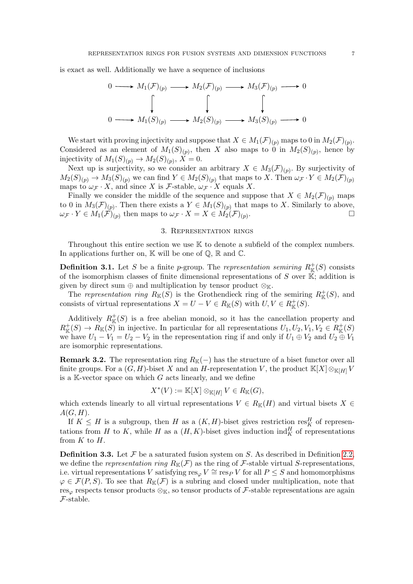is exact as well. Additionally we have a sequence of inclusions

$$
0 \longrightarrow M_1(\mathcal{F})_{(p)} \longrightarrow M_2(\mathcal{F})_{(p)} \longrightarrow M_3(\mathcal{F})_{(p)} \longrightarrow 0
$$
  

$$
\downarrow \qquad \qquad \downarrow \qquad \qquad \downarrow
$$
  

$$
0 \longrightarrow M_1(S)_{(p)} \longrightarrow M_2(S)_{(p)} \longrightarrow M_3(S)_{(p)} \longrightarrow 0
$$

We start with proving injectivity and suppose that  $X \in M_1(\mathcal{F})_{(p)}$  maps to 0 in  $M_2(\mathcal{F})_{(p)}$ . Considered as an element of  $M_1(S)(p)$ , then X also maps to 0 in  $M_2(S)(p)$ , hence by injectivity of  $M_1(S)_{(p)} \to M_2(S)_{(p)}$ ,  $X = 0$ .

Next up is surjectivity, so we consider an arbitrary  $X \in M_3(\mathcal{F})_{(p)}$ . By surjectivity of  $M_2(S)_{(p)} \to M_3(S)_{(p)}$  we can find  $Y \in M_2(S)_{(p)}$  that maps to X. Then  $\omega_{\mathcal{F}} \cdot Y \in M_2(\mathcal{F})_{(p)}$ maps to  $\omega_{\mathcal{F}} \cdot X$ , and since X is  $\mathcal{F}$ -stable,  $\omega_{\mathcal{F}} \cdot X$  equals X.

Finally we consider the middle of the sequence and suppose that  $X \in M_2(\mathcal{F})_{(p)}$  maps to 0 in  $M_3(\mathcal{F})_{(p)}$ . Then there exists a  $Y \in M_1(S)_{(p)}$  that maps to X. Similarly to above,  $\omega_{\mathcal{F}} \cdot Y \in M_1(\mathcal{F})_{(p)}$  then maps to  $\omega_{\mathcal{F}} \cdot X = X \in M_2(\mathcal{F})_{(p)}$ .

## 3. Representation rings

<span id="page-6-0"></span>Throughout this entire section we use  $K$  to denote a subfield of the complex numbers. In applications further on,  $\mathbb K$  will be one of  $\mathbb Q$ ,  $\mathbb R$  and  $\mathbb C$ .

<span id="page-6-1"></span>**Definition 3.1.** Let S be a finite p-group. The representation semiring  $R^+_{\mathbb{K}}(S)$  consists of the isomorphism classes of finite dimensional representations of  $S$  over  $\mathbb{K}$ ; addition is given by direct sum  $oplus$  and multiplication by tensor product  $\otimes_{\mathbb{K}}$ .

The representation ring  $R_{\mathbb{K}}(S)$  is the Grothendieck ring of the semiring  $R_{\mathbb{K}}^+(S)$ , and consists of virtual representations  $X = U - V \in R_{\mathbb{K}}(S)$  with  $U, V \in R_{\mathbb{K}}^{+}(S)$ .

Additively  $R^+_{\mathbb{K}}(S)$  is a free abelian monoid, so it has the cancellation property and  $R^+_{\mathbb{K}}(S) \to R_{\mathbb{K}}(S)$  in injective. In particular for all representations  $U_1, U_2, V_1, V_2 \in R^+_{\mathbb{K}}(S)$ we have  $U_1 - V_1 = U_2 - V_2$  in the representation ring if and only if  $U_1 \oplus V_2$  and  $U_2 \oplus V_1$ are isomorphic representations.

**Remark 3.2.** The representation ring  $R_{K}(-)$  has the structure of a biset functor over all finite groups. For a  $(G, H)$ -biset X and an H-representation V, the product  $\mathbb{K}[X] \otimes_{\mathbb{K}[H]} V$ is a  $K$ -vector space on which  $G$  acts linearly, and we define

$$
X^*(V) := \mathbb{K}[X] \otimes_{\mathbb{K}[H]} V \in R_{\mathbb{K}}(G),
$$

which extends linearly to all virtual representations  $V \in R_{\mathbb{K}}(H)$  and virtual bisets  $X \in$  $A(G, H)$ .

If  $K \leq H$  is a subgroup, then H as a  $(K, H)$ -biset gives restriction res<sup>H</sup> of representations from H to K, while H as a  $(H, K)$ -biset gives induction  $\text{ind}_{K}^{H}$  of representations from  $K$  to  $H$ .

**Definition 3.3.** Let  $\mathcal F$  be a saturated fusion system on  $S$ . As described in Definition [2.2,](#page-4-0) we define the representation ring  $R_{\mathbb{K}}(\mathcal{F})$  as the ring of  $\mathcal{F}$ -stable virtual S-representations, i.e. virtual representations V satisfying  $res_{\varphi} V \cong res_{P} V$  for all  $P \leq S$  and homomorphisms  $\varphi \in \mathcal{F}(P, S)$ . To see that  $R_{\mathbb{K}}(\mathcal{F})$  is a subring and closed under multiplication, note that res<sub> $\varphi$ </sub> respects tensor products  $\otimes_{\mathbb{K}}$ , so tensor products of F-stable representations are again F-stable.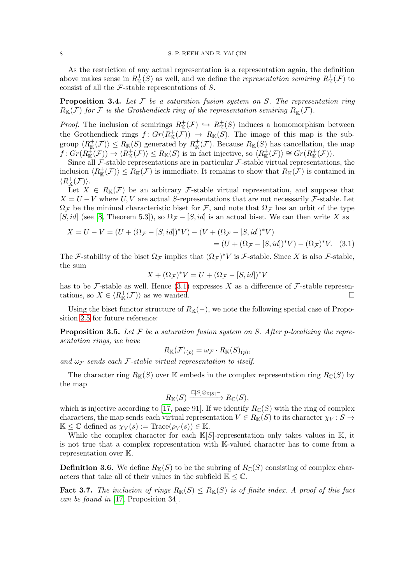As the restriction of any actual representation is a representation again, the definition above makes sense in  $R^+_{\mathbb{K}}(S)$  as well, and we define the *representation semiring*  $R^+_{\mathbb{K}}(\mathcal{F})$  to consist of all the  $\mathcal F$ -stable representations of  $S$ .

<span id="page-7-0"></span>**Proposition 3.4.** Let  $F$  be a saturation fusion system on  $S$ . The representation ring  $R_{\mathbb K}({\mathcal F})$  for  ${\mathcal F}$  is the Grothendieck ring of the representation semiring  $R^+_{\mathbb K}({\mathcal F}).$ 

*Proof.* The inclusion of semirings  $R^+_{\mathbb{K}}(\mathcal{F}) \hookrightarrow R^+_{\mathbb{K}}(S)$  induces a homomorphism between the Grothendieck rings  $f: Gr(R^+_{\mathbb{K}}(\mathcal{F})) \to R_{\mathbb{K}}(\mathcal{S})$ . The image of this map is the subgroup  $\langle R_{\mathbb{K}}^+(\mathcal{F})\rangle \le R_{\mathbb{K}}(S)$  generated by  $R_{\mathbb{K}}^+(\mathcal{F})$ . Because  $R_{\mathbb{K}}(S)$  has cancellation, the map  $f: Gr(R^+_{\mathbb{K}}(\mathcal{F})) \to \langle R^+_{\mathbb{K}}(\mathcal{F}) \rangle \leq R_{\mathbb{K}}(S)$  is in fact injective, so  $\langle R^+_{\mathbb{K}}(\mathcal{F}) \rangle \cong Gr(R^+_{\mathbb{K}}(\mathcal{F}))$ .

Since all  $\mathcal F$ -stable representations are in particular  $\mathcal F$ -stable virtual representations, the inclusion  $\langle R_{\mathbb K}^+(\mathcal F)\rangle\le R_{\mathbb K}(\mathcal F)$  is immediate. It remains to show that  $R_{\mathbb K}(\mathcal F)$  is contained in  $\langle R^+_{\mathbb{K}}(\mathcal{F}) \rangle.$ 

Let  $X \in R_{\mathbb{K}}(\mathcal{F})$  be an arbitrary F-stable virtual representation, and suppose that  $X = U - V$  where U, V are actual S-representations that are not necessarily F-stable. Let  $\Omega_{\mathcal{F}}$  be the minimal characteristic biset for  $\mathcal{F}$ , and note that  $\Omega_{\mathcal{F}}$  has an orbit of the type [S, id] (see [\[8,](#page-20-4) Theorem 5.3]), so  $\Omega_{\mathcal{F}} - [S, id]$  is an actual biset. We can then write X as

$$
X = U - V = (U + (\Omega_{\mathcal{F}} - [S, id])^{*}V) - (V + (\Omega_{\mathcal{F}} - [S, id])^{*}V)
$$
  
= (U + (\Omega\_{\mathcal{F}} - [S, id])^{\*}V) - (\Omega\_{\mathcal{F}})^{\*}V. (3.1)

The F-stability of the biset  $\Omega_{\mathcal{F}}$  implies that  $(\Omega_{\mathcal{F}})^*V$  is F-stable. Since X is also F-stable, the sum

<span id="page-7-1"></span>
$$
X + (\Omega_{\mathcal{F}})^* V = U + (\Omega_{\mathcal{F}} - [S, id])^* V
$$

has to be F-stable as well. Hence  $(3.1)$  expresses X as a difference of F-stable representations, so  $X \in \langle R^+_{\mathbb{K}}(\mathcal{F}) \rangle$  as we wanted.

Using the biset functor structure of  $R_{K}(-)$ , we note the following special case of Proposition [2.5](#page-5-1) for future reference:

**Proposition 3.5.** Let  $F$  be a saturation fusion system on  $S$ . After p-localizing the representation rings, we have

$$
R_{\mathbb{K}}(\mathcal{F})_{(p)} = \omega_{\mathcal{F}} \cdot R_{\mathbb{K}}(S)_{(p)},
$$

and  $\omega_{\mathcal{F}}$  sends each F-stable virtual representation to itself.

The character ring  $R_{\mathbb{K}}(S)$  over K embeds in the complex representation ring  $R_{\mathbb{C}}(S)$  by the map

$$
R_{\mathbb{K}}(S) \xrightarrow{\mathbb{C}[S] \otimes_{\mathbb{K}[S]}^-} R_{\mathbb{C}}(S),
$$

which is injective according to [\[17,](#page-21-0) page 91]. If we identify  $R_{\mathbb{C}}(S)$  with the ring of complex characters, the map sends each virtual representation  $V \in R_{\mathbb{K}}(S)$  to its character  $\chi_V : S \to$  $\mathbb{K} \leq \mathbb{C}$  defined as  $\chi_V(s) := \text{Trace}(\rho_V(s)) \in \mathbb{K}.$ 

While the complex character for each  $K[S]$ -representation only takes values in K, it is not true that a complex representation with K-valued character has to come from a representation over K.

**Definition 3.6.** We define  $\overline{R_{\mathbb{K}}(S)}$  to be the subring of  $R_{\mathbb{C}}(S)$  consisting of complex characters that take all of their values in the subfield  $K \leq \mathbb{C}$ .

<span id="page-7-2"></span>**Fact 3.7.** The inclusion of rings  $R_k(S) \leq R_k(S)$  is of finite index. A proof of this fact can be found in [\[17,](#page-21-0) Proposition 34].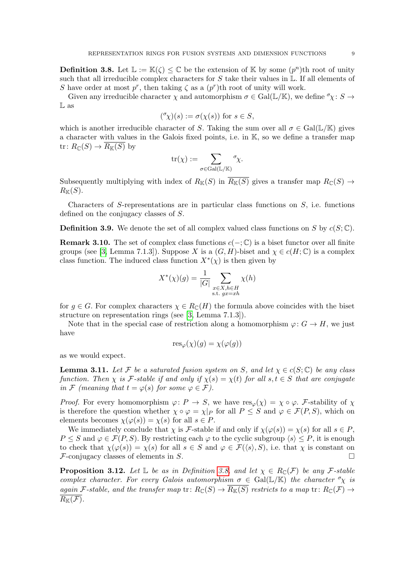<span id="page-8-0"></span>**Definition 3.8.** Let  $\mathbb{L} := \mathbb{K}(\zeta) \leq \mathbb{C}$  be the extension of  $\mathbb{K}$  by some  $(p^n)$ th root of unity such that all irreducible complex characters for  $S$  take their values in  $\mathbb{L}$ . If all elements of S have order at most  $p^r$ , then taking  $\zeta$  as a  $(p^r)$ th root of unity will work.

Given any irreducible character  $\chi$  and automorphism  $\sigma \in \text{Gal}(\mathbb{L}/\mathbb{K})$ , we define  $^{\sigma}\chi: S \to$  $\mathbb L$  as

$$
({}^{\sigma}\chi)(s) := \sigma(\chi(s)) \text{ for } s \in S,
$$

which is another irreducible character of S. Taking the sum over all  $\sigma \in \text{Gal}(\mathbb{L}/\mathbb{K})$  gives a character with values in the Galois fixed points, i.e. in K, so we define a transfer map tr:  $R_{\mathbb{C}}(S) \to \overline{R_{\mathbb{K}}(S)}$  by

$$
\mathrm{tr}(\chi):=\sum_{\sigma\in\mathrm{Gal}(\mathbb{L}/\mathbb{K})}{}^{\sigma}\!\chi.
$$

Subsequently multiplying with index of  $R_{\mathbb{K}}(S)$  in  $\overline{R_{\mathbb{K}}(S)}$  gives a transfer map  $R_{\mathbb{C}}(S) \rightarrow$  $R_{\mathbb{K}}(S)$ .

Characters of S-representations are in particular class functions on  $S$ , i.e. functions defined on the conjugacy classes of S.

**Definition 3.9.** We denote the set of all complex valued class functions on S by  $c(S; \mathbb{C})$ .

**Remark 3.10.** The set of complex class functions  $c(-; \mathbb{C})$  is a biset functor over all finite groups (see [\[3,](#page-20-3) Lemma 7.1.3]). Suppose X is a  $(G, H)$ -biset and  $\chi \in c(H; \mathbb{C})$  is a complex class function. The induced class function  $X^*(\chi)$  is then given by

$$
X^*(\chi)(g) = \frac{1}{|G|} \sum_{\substack{x \in X, h \in H \\ \text{s.t. } gx = xh}} \chi(h)
$$

for  $g \in G$ . For complex characters  $\chi \in R_{\mathbb{C}}(H)$  the formula above coincides with the biset structure on representation rings (see [\[3,](#page-20-3) Lemma 7.1.3]).

Note that in the special case of restriction along a homomorphism  $\varphi: G \to H$ , we just have

$$
\operatorname{res}_{\varphi}(\chi)(g) = \chi(\varphi(g))
$$

as we would expect.

<span id="page-8-1"></span>**Lemma 3.11.** Let F be a saturated fusion system on S, and let  $\chi \in c(S; \mathbb{C})$  be any class function. Then  $\chi$  is F-stable if and only if  $\chi(s) = \chi(t)$  for all  $s, t \in S$  that are conjugate in F (meaning that  $t = \varphi(s)$  for some  $\varphi \in \mathcal{F}$ ).

*Proof.* For every homomorphism  $\varphi: P \to S$ , we have  $res_{\varphi}(\chi) = \chi \circ \varphi$ . F-stability of  $\chi$ is therefore the question whether  $\chi \circ \varphi = \chi|_P$  for all  $P \leq S$  and  $\varphi \in \mathcal{F}(P, S)$ , which on elements becomes  $\chi(\varphi(s)) = \chi(s)$  for all  $s \in P$ .

We immediately conclude that  $\chi$  is F-stable if and only if  $\chi(\varphi(s)) = \chi(s)$  for all  $s \in P$ ,  $P \leq S$  and  $\varphi \in \mathcal{F}(P, S)$ . By restricting each  $\varphi$  to the cyclic subgroup  $\langle s \rangle \leq P$ , it is enough to check that  $\chi(\varphi(s)) = \chi(s)$  for all  $s \in S$  and  $\varphi \in \mathcal{F}(\langle s \rangle, S)$ , i.e. that  $\chi$  is constant on  $\mathcal F$ -conjugacy classes of elements in S.

**Proposition 3.12.** Let  $\mathbb{L}$  be as in Definition [3.8,](#page-8-0) and let  $\chi \in R_{\mathbb{C}}(\mathcal{F})$  be any F-stable complex character. For every Galois automorphism  $\sigma \in Gal(\mathbb{L}/\mathbb{K})$  the character  $\sigma_{\chi}$  is again F-stable, and the transfer map  $\text{tr}: R_{\mathbb{C}}(S) \to \overline{R_{\mathbb{K}}(S)}$  restricts to a map  $\text{tr}: R_{\mathbb{C}}(\mathcal{F}) \to$  $\overline{R_{\mathbb{K}}(\mathcal{F})}.$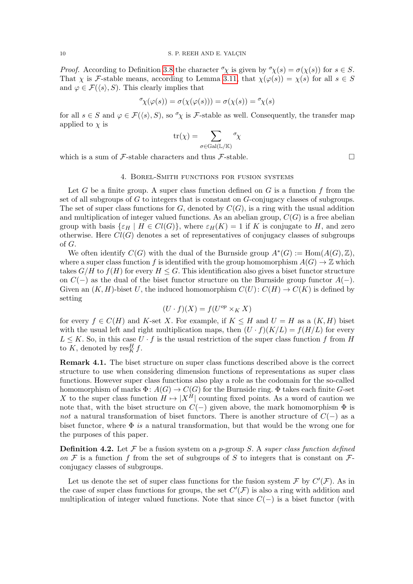*Proof.* According to Definition [3.8](#page-8-0) the character  $\sigma_{\chi}$  is given by  $\sigma_{\chi}(s) = \sigma(\chi(s))$  for  $s \in S$ . That  $\chi$  is F-stable means, according to Lemma [3.11,](#page-8-1) that  $\chi(\varphi(s)) = \chi(s)$  for all  $s \in S$ and  $\varphi \in \mathcal{F}(\langle s \rangle, S)$ . This clearly implies that

$$
{}^\sigma \! \chi(\varphi(s)) = \sigma(\chi(\varphi(s))) = \sigma(\chi(s)) = {}^\sigma \! \chi(s)
$$

for all  $s \in S$  and  $\varphi \in \mathcal{F}(\langle s \rangle, S)$ , so  $\sigma_{\chi}$  is F-stable as well. Consequently, the transfer map applied to  $\chi$  is

$$
\mathrm{tr}(\chi)=\sum_{\sigma\in\mathrm{Gal}(\mathbb{L}/\mathbb{K})}{}^{\sigma}\!\chi
$$

<span id="page-9-0"></span>which is a sum of F-stable characters and thus F-stable.

#### 4. Borel-Smith functions for fusion systems

Let G be a finite group. A super class function defined on  $G$  is a function  $f$  from the set of all subgroups of G to integers that is constant on G-conjugacy classes of subgroups. The set of super class functions for  $G$ , denoted by  $C(G)$ , is a ring with the usual addition and multiplication of integer valued functions. As an abelian group,  $C(G)$  is a free abelian group with basis  $\{\varepsilon_H \mid H \in Cl(G)\}\,$ , where  $\varepsilon_H(K) = 1$  if K is conjugate to H, and zero otherwise. Here  $Cl(G)$  denotes a set of representatives of conjugacy classes of subgroups of G.

We often identify  $C(G)$  with the dual of the Burnside group  $A^*(G) := \text{Hom}(A(G), \mathbb{Z}),$ where a super class function f is identified with the group homomorphism  $A(G) \to \mathbb{Z}$  which takes  $G/H$  to  $f(H)$  for every  $H \leq G$ . This identification also gives a biset functor structure on  $C(-)$  as the dual of the biset functor structure on the Burnside group functor  $A(-)$ . Given an  $(K, H)$ -biset U, the induced homomorphism  $C(U): C(H) \to C(K)$  is defined by setting

$$
(U \cdot f)(X) = f(U^{op} \times_K X)
$$

for every  $f \in C(H)$  and K-set X. For example, if  $K \leq H$  and  $U = H$  as a  $(K, H)$  biset with the usual left and right multiplication maps, then  $(U \cdot f)(K/L) = f(H/L)$  for every  $L \leq K$ . So, in this case  $U \cdot f$  is the usual restriction of the super class function f from H to K, denoted by  $\operatorname{res}^H_K f$ .

Remark 4.1. The biset structure on super class functions described above is the correct structure to use when considering dimension functions of representations as super class functions. However super class functions also play a role as the codomain for the so-called homomorphism of marks  $\Phi: A(G) \to C(G)$  for the Burnside ring.  $\Phi$  takes each finite G-set X to the super class function  $H \mapsto |X^H|$  counting fixed points. As a word of caution we note that, with the biset structure on  $C(-)$  given above, the mark homomorphism  $\Phi$  is not a natural transformation of biset functors. There is another structure of  $C(-)$  as a biset functor, where  $\Phi$  is a natural transformation, but that would be the wrong one for the purposes of this paper.

**Definition 4.2.** Let F be a fusion system on a p-group S. A super class function defined on F is a function f from the set of subgroups of S to integers that is constant on  $\mathcal{F}$ conjugacy classes of subgroups.

Let us denote the set of super class functions for the fusion system  $\mathcal F$  by  $C'(\mathcal F)$ . As in the case of super class functions for groups, the set  $C'(\mathcal{F})$  is also a ring with addition and multiplication of integer valued functions. Note that since  $C(-)$  is a biset functor (with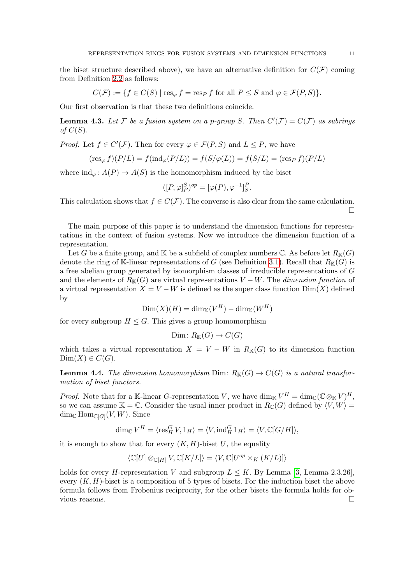the biset structure described above), we have an alternative definition for  $C(\mathcal{F})$  coming from Definition [2.2](#page-4-0) as follows:

$$
C(\mathcal{F}) := \{ f \in C(S) \mid \text{res}_{\varphi} f = \text{res}_P f \text{ for all } P \le S \text{ and } \varphi \in \mathcal{F}(P, S) \}.
$$

Our first observation is that these two definitions coincide.

**Lemma 4.3.** Let F be a fusion system on a p-group S. Then  $C'(\mathcal{F}) = C(\mathcal{F})$  as subrings of  $C(S)$ .

*Proof.* Let  $f \in C'(\mathcal{F})$ . Then for every  $\varphi \in \mathcal{F}(P, S)$  and  $L \leq P$ , we have

$$
(\operatorname{res}_{\varphi} f)(P/L) = f(\operatorname{ind}_{\varphi}(P/L)) = f(S/\varphi(L)) = f(S/L) = (\operatorname{res}_{P} f)(P/L)
$$

where  $\text{ind}_{\varphi} \colon A(P) \to A(S)$  is the homomorphism induced by the biset

$$
([P,\varphi]_P^S)^{op} = [\varphi(P),\varphi^{-1}]_S^P.
$$

This calculation shows that  $f \in C(\mathcal{F})$ . The converse is also clear from the same calculation.  $\Box$ 

The main purpose of this paper is to understand the dimension functions for representations in the context of fusion systems. Now we introduce the dimension function of a representation.

Let G be a finite group, and K be a subfield of complex numbers  $\mathbb{C}$ . As before let  $R_{\mathbb{K}}(G)$ denote the ring of K-linear representations of G (see Definition [3.1\)](#page-6-1). Recall that  $R_K(G)$  is a free abelian group generated by isomorphism classes of irreducible representations of G and the elements of  $R_{\mathbb{K}}(G)$  are virtual representations  $V - W$ . The *dimension function* of a virtual representation  $X = V - W$  is defined as the super class function  $Dim(X)$  defined by

$$
\text{Dim}(X)(H) = \text{dim}_{\mathbb{K}}(V^H) - \text{dim}_{\mathbb{K}}(W^H)
$$

for every subgroup  $H \leq G$ . This gives a group homomorphism

$$
\text{Dim} \colon R_{\mathbb{K}}(G) \to C(G)
$$

which takes a virtual representation  $X = V - W$  in  $R<sub>K</sub>(G)$  to its dimension function  $Dim(X) \in C(G).$ 

**Lemma 4.4.** The dimension homomorphism Dim:  $R_{\mathbb{K}}(G) \to C(G)$  is a natural transformation of biset functors.

*Proof.* Note that for a K-linear G-representation V, we have  $\dim_{\mathbb{K}} V^H = \dim_{\mathbb{C}} (\mathbb{C} \otimes_{\mathbb{K}} V)^H$ , so we can assume  $\mathbb{K} = \mathbb{C}$ . Consider the usual inner product in  $R_{\mathbb{C}}(G)$  defined by  $\langle V, W \rangle =$  $\dim_{\mathbb{C}} \text{Hom}_{\mathbb{C}[G]}(V,W)$ . Since

$$
\dim_{\mathbb{C}} V^H = \langle \operatorname{res}^G_H V, 1_H \rangle = \langle V, \operatorname{ind}^G_H 1_H \rangle = \langle V, \mathbb{C}[G/H] \rangle,
$$

it is enough to show that for every  $(K, H)$ -biset U, the equality

$$
\langle \mathbb{C}[U] \otimes_{\mathbb{C}[H]} V, \mathbb{C}[K/L] \rangle = \langle V, \mathbb{C}[U^{op} \times_K (K/L)] \rangle
$$

holds for every H-representation V and subgroup  $L \leq K$ . By Lemma [\[3,](#page-20-3) Lemma 2.3.26], every  $(K, H)$ -biset is a composition of 5 types of bisets. For the induction biset the above formula follows from Frobenius reciprocity, for the other bisets the formula holds for obvious reasons.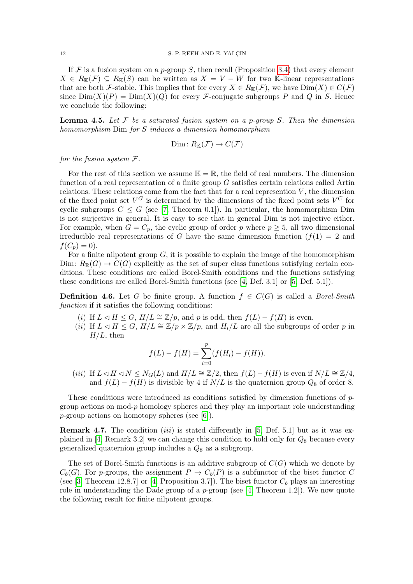If F is a fusion system on a p-group S, then recall (Proposition [3.4\)](#page-7-0) that every element  $X \in R_{\mathbb{K}}(\mathcal{F}) \subseteq R_{\mathbb{K}}(S)$  can be written as  $X = V - W$  for two K-linear representations that are both F-stable. This implies that for every  $X \in R_{\mathbb{K}}(\mathcal{F})$ , we have  $\text{Dim}(X) \in C(\mathcal{F})$ since  $\text{Dim}(X)(P) = \text{Dim}(X)(Q)$  for every *F*-conjugate subgroups *P* and *Q* in *S*. Hence we conclude the following:

**Lemma 4.5.** Let  $F$  be a saturated fusion system on a p-group S. Then the dimension homomorphism Dim for S induces a dimension homomorphism

$$
Dim\colon R_{\mathbb{K}}(\mathcal{F})\to C(\mathcal{F})
$$

for the fusion system  $F$ .

For the rest of this section we assume  $\mathbb{K} = \mathbb{R}$ , the field of real numbers. The dimension function of a real representation of a finite group  $G$  satisfies certain relations called Artin relations. These relations come from the fact that for a real represention  $V$ , the dimension of the fixed point set  $V^G$  is determined by the dimensions of the fixed point sets  $V^C$  for cyclic subgroups  $C \leq G$  (see [\[7,](#page-20-8) Theorem 0.1]). In particular, the homomorphism Dim is not surjective in general. It is easy to see that in general Dim is not injective either. For example, when  $G = C_p$ , the cyclic group of order p where  $p \geq 5$ , all two dimensional irreducible real representations of G have the same dimension function  $(f(1) = 2$  and  $f(C_p) = 0$ .

For a finite nilpotent group  $G$ , it is possible to explain the image of the homomorphism Dim:  $R_{\mathbb{R}}(G) \to C(G)$  explicitly as the set of super class functions satisfying certain conditions. These conditions are called Borel-Smith conditions and the functions satisfying these conditions are called Borel-Smith functions (see [\[4,](#page-20-9) Def. 3.1] or [\[5,](#page-20-10) Def. 5.1]).

<span id="page-11-0"></span>**Definition 4.6.** Let G be finite group. A function  $f \in C(G)$  is called a *Borel-Smith* function if it satisfies the following conditions:

- <span id="page-11-2"></span>(i) If  $L \triangleleft H \leq G$ ,  $H/L \cong \mathbb{Z}/p$ , and p is odd, then  $f(L) - f(H)$  is even.
- <span id="page-11-1"></span>(ii) If  $L \triangleleft H \leq G$ ,  $H/L \cong \mathbb{Z}/p \times \mathbb{Z}/p$ , and  $H_i/L$  are all the subgroups of order p in  $H/L$ , then

$$
f(L) - f(H) = \sum_{i=0}^{p} (f(H_i) - f(H)).
$$

<span id="page-11-3"></span>(iii) If  $L \triangleleft H \triangleleft N \le N_G(L)$  and  $H/L \cong \mathbb{Z}/2$ , then  $f(L)-f(H)$  is even if  $N/L \cong \mathbb{Z}/4$ , and  $f(L) - f(H)$  is divisible by 4 if  $N/L$  is the quaternion group  $Q_8$  of order 8.

These conditions were introduced as conditions satisfied by dimension functions of pgroup actions on mod-p homology spheres and they play an important role understanding  $p$ -group actions on homotopy spheres (see [\[6\]](#page-20-11)).

**Remark 4.7.** The condition (*iii*) is stated differently in [\[5,](#page-20-10) Def. 5.1] but as it was ex-plained in [\[4,](#page-20-9) Remark 3.2] we can change this condition to hold only for  $Q_8$  because every generalized quaternion group includes a  $Q_8$  as a subgroup.

The set of Borel-Smith functions is an additive subgroup of  $C(G)$  which we denote by  $C_b(G)$ . For p-groups, the assignment  $P \to C_b(P)$  is a subfunctor of the biset functor C (see [\[3,](#page-20-3) Theorem 12.8.7] or [\[4,](#page-20-9) Proposition 3.7]). The biset functor  $C_b$  plays an interesting role in understanding the Dade group of a p-group (see [\[4,](#page-20-9) Theorem 1.2]). We now quote the following result for finite nilpotent groups.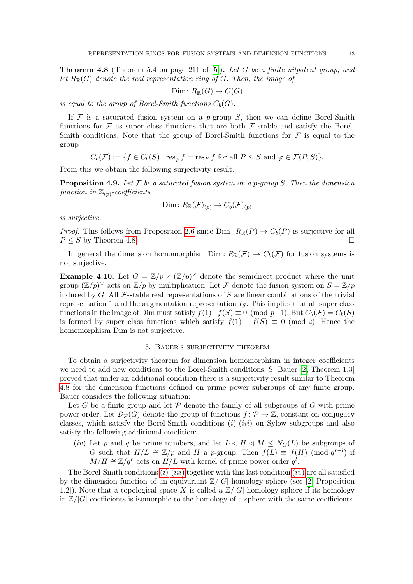<span id="page-12-0"></span>**Theorem 4.8** (Theorem 5.4 on page 211 of [\[5\]](#page-20-10)). Let G be a finite nilpotent group, and let  $R_{\mathbb{R}}(G)$  denote the real representation ring of G. Then, the image of

$$
\text{Dim} \colon R_{\mathbb{R}}(G) \to C(G)
$$

is equal to the group of Borel-Smith functions  $C_b(G)$ .

If  $\mathcal F$  is a saturated fusion system on a p-group  $S$ , then we can define Borel-Smith functions for  $\mathcal F$  as super class functions that are both  $\mathcal F$ -stable and satisfy the Borel-Smith conditions. Note that the group of Borel-Smith functions for  $\mathcal F$  is equal to the group

$$
C_b(\mathcal{F}) := \{ f \in C_b(S) \mid \text{res}_{\varphi} f = \text{res}_P f \text{ for all } P \leq S \text{ and } \varphi \in \mathcal{F}(P, S) \}.
$$

From this we obtain the following surjectivity result.

<span id="page-12-1"></span>**Proposition 4.9.** Let F be a saturated fusion system on a p-group S. Then the dimension function in  $\mathbb{Z}_{(p)}$ -coefficients

$$
\text{Dim}: R_{\mathbb{R}}(\mathcal{F})_{(p)} \to C_b(\mathcal{F})_{(p)}
$$

is surjective.

*Proof.* This follows from Proposition [2.6](#page-5-0) since Dim:  $R_{\mathbb{R}}(P) \to C_b(P)$  is surjective for all  $P \leq S$  by Theorem [4.8.](#page-12-0)

In general the dimension homomorphism Dim:  $R_{\mathbb{R}}(\mathcal{F}) \to C_b(\mathcal{F})$  for fusion systems is not surjective.

**Example 4.10.** Let  $G = \mathbb{Z}/p \rtimes (\mathbb{Z}/p)^{\times}$  denote the semidirect product where the unit group  $(\mathbb{Z}/p)^{\times}$  acts on  $\mathbb{Z}/p$  by multiplication. Let F denote the fusion system on  $S = \mathbb{Z}/p$ induced by  $G$ . All  $\mathcal F$ -stable real representations of S are linear combinations of the trivial representation 1 and the augmentation representation  $I<sub>S</sub>$ . This implies that all super class functions in the image of Dim must satisfy  $f(1)-f(S) \equiv 0 \pmod{p-1}$ . But  $C_b(\mathcal{F}) = C_b(S)$ is formed by super class functions which satisfy  $f(1) - f(S) \equiv 0 \pmod{2}$ . Hence the homomorphism Dim is not surjective.

## 5. Bauer's surjectivity theorem

<span id="page-12-2"></span>To obtain a surjectivity theorem for dimension homomorphism in integer coefficients we need to add new conditions to the Borel-Smith conditions. S. Bauer [\[2,](#page-20-0) Theorem 1.3] proved that under an additional condition there is a surjectivity result similar to Theorem [4.8](#page-12-0) for the dimension functions defined on prime power subgroups of any finite group. Bauer considers the following situation:

Let G be a finite group and let  $P$  denote the family of all subgroups of G with prime power order. Let  $\mathcal{D}_{\mathcal{P}}(G)$  denote the group of functions  $f: \mathcal{P} \to \mathbb{Z}$ , constant on conjugacy classes, which satisfy the Borel-Smith conditions  $(i)-(iii)$  on Sylow subgroups and also satisfy the following additional condition:

<span id="page-12-3"></span>(iv) Let p and q be prime numbers, and let  $L \triangleleft H \triangleleft M \leq N_G(L)$  be subgroups of G such that  $H/L \cong \mathbb{Z}/p$  and H a p-group. Then  $f(L) \equiv f(H) \pmod{q^{r-l}}$  if  $M/H \cong \mathbb{Z}/q^r$  acts on  $H/L$  with kernel of prime power order  $q^l$ .

The Borel-Smith conditions  $(i)$ - $(iii)$  $(iii)$  $(iii)$  together with this last condition  $(iv)$  $(iv)$  $(iv)$  are all satisfied by the dimension function of an equivariant  $\mathbb{Z}/|G|$ -homology sphere (see [\[2,](#page-20-0) Proposition 1.2]). Note that a topological space X is called a  $\mathbb{Z}/|G|$ -homology sphere if its homology in  $\mathbb{Z}/|G|$ -coefficients is isomorphic to the homology of a sphere with the same coefficients.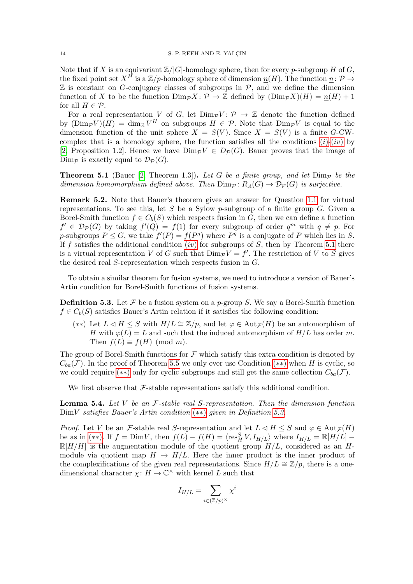Note that if X is an equivariant  $\mathbb{Z}/|G|$ -homology sphere, then for every p-subgroup H of G, the fixed point set  $X^H$  is a  $\mathbb{Z}/p$ -homology sphere of dimension  $\underline{n}(H)$ . The function  $\underline{n}: \mathcal{P} \to$  $\mathbb Z$  is constant on G-conjugacy classes of subgroups in  $\mathcal P$ , and we define the dimension function of X to be the function  $\text{Dim}_{\mathcal{P}} X\colon \mathcal{P} \to \mathbb{Z}$  defined by  $(\text{Dim}_{\mathcal{P}} X)(H) = \underline{n}(H) + 1$ for all  $H \in \mathcal{P}$ .

For a real representation V of G, let  $Dim_{\mathcal{P}}V: \mathcal{P} \to \mathbb{Z}$  denote the function defined by  $(\text{Dim}_{\mathcal{P}}V)(H) = \dim_{\mathbb{R}}V^H$  on subgroups  $H \in \mathcal{P}$ . Note that  $\text{Dim}_{\mathcal{P}}V$  is equal to the dimension function of the unit sphere  $X = S(V)$ . Since  $X = S(V)$  is a finite G-CWcomplex that is a homology sphere, the function satisfies all the conditions  $(i)-(iv)$  $(i)-(iv)$  $(i)-(iv)$  by [\[2,](#page-20-0) Proposition 1.2]. Hence we have  $\text{Dim}_{\mathcal{P}}V \in D_{\mathcal{P}}(G)$ . Bauer proves that the image of Dim<sub>p</sub> is exactly equal to  $\mathcal{D}_{\mathcal{P}}(G)$ .

<span id="page-13-1"></span>**Theorem 5.1** (Bauer [\[2,](#page-20-0) Theorem 1.3]). Let G be a finite group, and let  $\text{Dim}_{\mathcal{P}}$  be the dimension homomorphism defined above. Then  $\text{Dim}_{\mathcal{P}}\colon R_{\mathbb{R}}(G) \to \mathcal{D}_{\mathcal{P}}(G)$  is surjective.

Remark 5.2. Note that Bauer's theorem gives an answer for Question [1.1](#page-0-0) for virtual representations. To see this, let S be a Sylow  $p$ -subgroup of a finite group G. Given a Borel-Smith function  $f \in C_b(S)$  which respects fusion in G, then we can define a function  $f' \in \mathcal{D}_{\mathcal{P}}(G)$  by taking  $f'(Q) = f(1)$  for every subgroup of order  $q^m$  with  $q \neq p$ . For p-subgroups  $P \leq G$ , we take  $f'(P) = f(P^g)$  where  $P^g$  is a conjugate of P which lies in S. If f satisfies the additional condition ([iv](#page-12-3)) for subgroups of S, then by Theorem [5.1](#page-13-1) there is a virtual representation V of G such that  $\text{Dim}_{\mathcal{P}}V = f'$ . The restriction of V to S gives the desired real S-representation which respects fusion in G.

To obtain a similar theorem for fusion systems, we need to introduce a version of Bauer's Artin condition for Borel-Smith functions of fusion systems.

<span id="page-13-0"></span>**Definition 5.3.** Let F be a fusion system on a p-group S. We say a Borel-Smith function  $f \in C_b(S)$  satisfies Bauer's Artin relation if it satisfies the following condition:

<span id="page-13-2"></span>(\*\*) Let  $L \triangleleft H \leq S$  with  $H/L \cong \mathbb{Z}/p$ , and let  $\varphi \in \text{Aut}_{\mathcal{F}}(H)$  be an automorphism of H with  $\varphi(L) = L$  and such that the induced automorphism of  $H/L$  has order m. Then  $f(L) \equiv f(H) \pmod{m}$ .

The group of Borel-Smith functions for  $\mathcal F$  which satisfy this extra condition is denoted by  $C_{ba}(\mathcal{F})$ . In the proof of Theorem [5.5](#page-14-0) we only ever use Condition (\*\*) when H is cyclic, so we could require (\*\*) only for cyclic subgroups and still get the same collection  $C_{ba}(\mathcal{F})$ .

We first observe that  $\mathcal F$ -stable representations satisfy this additional condition.

**Lemma 5.4.** Let V be an  $F$ -stable real S-representation. Then the dimension function DimV satisfies Bauer's Artin condition ([∗∗](#page-13-2)) given in Definition [5.3.](#page-13-0)

*Proof.* Let V be an F-stable real S-representation and let  $L \triangleleft H \leq S$  and  $\varphi \in \text{Aut}_{\mathcal{F}}(H)$ be as in (\*\*). If  $f = \text{Dim}V$ , then  $f(L) - f(H) = \langle \text{res}_{H}^{S} V, I_{H/L} \rangle$  where  $I_{H/L} = \mathbb{R}[H/L] \mathbb{R}[H/H]$  is the augmentation module of the quotient group  $H/L$ , considered as an Hmodule via quotient map  $H \to H/L$ . Here the inner product is the inner product of the complexifications of the given real representations. Since  $H/L \cong \mathbb{Z}/p$ , there is a onedimensional character  $\chi: H \to \mathbb{C}^{\times}$  with kernel L such that

$$
I_{H/L} = \sum_{i \in (\mathbb{Z}/p)^\times} \chi^i
$$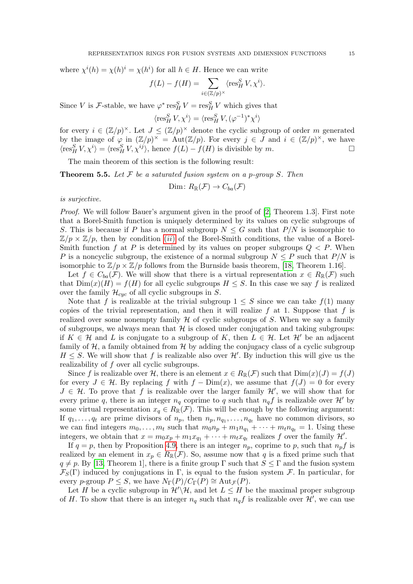where  $\chi^{i}(h) = \chi(h)^{i} = \chi(h^{i})$  for all  $h \in H$ . Hence we can write

$$
f(L) - f(H) = \sum_{i \in (\mathbb{Z}/p)^{\times}} \langle \operatorname{res}^S_H V, \chi^i \rangle.
$$

Since V is *F*-stable, we have  $\varphi^* \operatorname{res}^S_H V = \operatorname{res}^S_H V$  which gives that

$$
\langle {\rm res}^S_H\,V, \chi^i\rangle = \langle {\rm res}^S_H\,V, (\varphi^{-1})^*\chi^i\rangle
$$

for every  $i \in (\mathbb{Z}/p)^{\times}$ . Let  $J \leq (\mathbb{Z}/p)^{\times}$  denote the cyclic subgroup of order m generated by the image of  $\varphi$  in  $(\mathbb{Z}/p)^{\times} = \text{Aut}(\mathbb{Z}/p)$ . For every  $j \in J$  and  $i \in (\mathbb{Z}/p)^{\times}$ , we have  $\langle \operatorname{res}^S_H V, \chi^i \rangle = \langle \operatorname{res}^S_H V, \chi^{ij} \rangle$ , hence  $f(L) - f(H)$  is divisible by m.

The main theorem of this section is the following result:

<span id="page-14-0"></span>**Theorem 5.5.** Let  $F$  be a saturated fusion system on a p-group S. Then

$$
Dim\colon R_{\mathbb{R}}(\mathcal{F})\to C_{ba}(\mathcal{F})
$$

is surjective.

Proof. We will follow Bauer's argument given in the proof of [\[2,](#page-20-0) Theorem 1.3]. First note that a Borel-Smith function is uniquely determined by its values on cyclic subgroups of S. This is because if P has a normal subgroup  $N \leq G$  such that  $P/N$  is isomorphic to  $\mathbb{Z}/p \times \mathbb{Z}/p$ , then by condition (*[ii](#page-11-1)*) of the Borel-Smith conditions, the value of a Borel-Smith function f at P is determined by its values on proper subgroups  $Q \leq P$ . When P is a noncyclic subgroup, the existence of a normal subgroup  $N \leq P$  such that  $P/N$  is isomorphic to  $\mathbb{Z}/p \times \mathbb{Z}/p$  follows from the Burnside basis theorem, [\[18,](#page-21-1) Theorem 1.16].

Let  $f \in C_{ba}(\mathcal{F})$ . We will show that there is a virtual representation  $x \in R_{\mathbb{R}}(\mathcal{F})$  such that  $Dim(x)(H) = f(H)$  for all cyclic subgroups  $H \leq S$ . In this case we say f is realized over the family  $\mathcal{H}_{cyc}$  of all cyclic subgroups in S.

Note that f is realizable at the trivial subgroup  $1 \leq S$  since we can take  $f(1)$  many copies of the trivial representation, and then it will realize  $f$  at 1. Suppose that  $f$  is realized over some nonempty family  $H$  of cyclic subgroups of S. When we say a family of subgroups, we always mean that  $H$  is closed under conjugation and taking subgroups: if  $K \in \mathcal{H}$  and L is conjugate to a subgroup of K, then  $L \in \mathcal{H}$ . Let  $\mathcal{H}'$  be an adjacent family of  $H$ , a family obtained from  $H$  by adding the conjugacy class of a cyclic subgroup  $H \leq S$ . We will show that f is realizable also over  $\mathcal{H}'$ . By induction this will give us the realizability of f over all cyclic subgroups.

Since f is realizable over H, there is an element  $x \in R_{\mathbb{R}}(\mathcal{F})$  such that  $\text{Dim}(x)(J) = f(J)$ for every  $J \in \mathcal{H}$ . By replacing f with  $f - \text{Dim}(x)$ , we assume that  $f(J) = 0$  for every  $J \in \mathcal{H}$ . To prove that f is realizable over the larger family  $\mathcal{H}'$ , we will show that for every prime q, there is an integer  $n_q$  coprime to q such that  $n_q f$  is realizable over  $\mathcal{H}'$  by some virtual representation  $x_q \in R_{\mathbb{R}}(\mathcal{F})$ . This will be enough by the following argument: If  $q_1, \ldots, q_t$  are prime divisors of  $n_p$ , then  $n_p, n_{q_1}, \ldots, n_{q_t}$  have no common divisors, so we can find integers  $m_0, \ldots, m_t$  such that  $m_0n_p + m_1n_{q_1} + \cdots + m_t n_{q_t} = 1$ . Using these integers, we obtain that  $x = m_0x_p + m_1x_{q_1} + \cdots + m_tx_{q_t}$  realizes f over the family  $\mathcal{H}'$ .

If  $q = p$ , then by Proposition [4.9,](#page-12-1) there is an integer  $n_p$ , coprime to p, such that  $n_p f$  is realized by an element in  $x_p \in R_{\mathbb{R}}(\mathcal{F})$ . So, assume now that q is a fixed prime such that  $q \neq p$ . By [\[13,](#page-20-12) Theorem 1], there is a finite group Γ such that  $S \leq \Gamma$  and the fusion system  $\mathcal{F}_S(\Gamma)$  induced by conjugations in Γ, is equal to the fusion system F. In particular, for every p-group  $P \leq S$ , we have  $N_{\Gamma}(P)/C_{\Gamma}(P) \cong \text{Aut}_{\mathcal{F}}(P)$ .

Let H be a cyclic subgroup in  $\mathcal{H}'\backslash\mathcal{H}$ , and let  $L \leq H$  be the maximal proper subgroup of H. To show that there is an integer  $n_q$  such that  $n_q f$  is realizable over  $\mathcal{H}'$ , we can use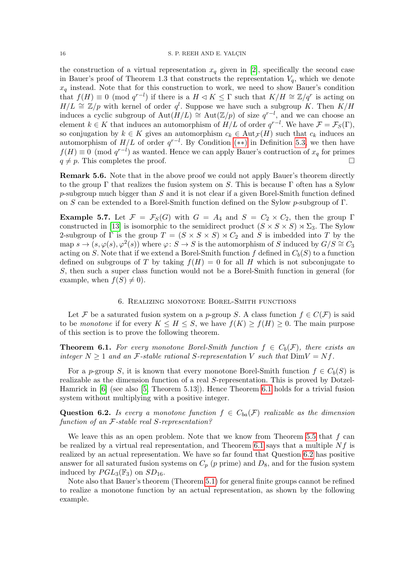the construction of a virtual representation  $x_q$  given in [\[2\]](#page-20-0), specifically the second case in Bauer's proof of Theorem 1.3 that constructs the representation  $V_q$ , which we denote  $x_q$  instead. Note that for this construction to work, we need to show Bauer's condition that  $f(H) \equiv 0 \pmod{q^{r-l}}$  if there is a  $H \lhd K \leq \Gamma$  such that  $K/H \cong \mathbb{Z}/q^r$  is acting on  $H/L \cong \mathbb{Z}/p$  with kernel of order  $q^l$ . Suppose we have such a subgroup K. Then  $K/H$ induces a cyclic subgroup of  $\text{Aut}(\overline{H}/L) \cong \text{Aut}(\mathbb{Z}/p)$  of size  $q^{r-l}$ , and we can choose an element  $k \in K$  that induces an automorphism of  $H/L$  of order  $q^{r-l}$ . We have  $\mathcal{F} = \mathcal{F}_S(\Gamma)$ , so conjugation by  $k \in K$  gives an automorphism  $c_k \in \text{Aut}_{\mathcal{F}}(H)$  such that  $c_k$  induces an automorphism of  $H/L$  of order  $q^{r-l}$ . By Condition (\*\*) in Definition [5.3,](#page-13-0) we then have  $f(H) \equiv 0 \pmod{q^{r-l}}$  as wanted. Hence we can apply Bauer's contruction of  $x_q$  for primes  $q \neq p$ . This completes the proof.

Remark 5.6. Note that in the above proof we could not apply Bauer's theorem directly to the group  $\Gamma$  that realizes the fusion system on S. This is because  $\Gamma$  often has a Sylow  $p$ -subgroup much bigger than  $S$  and it is not clear if a given Borel-Smith function defined on S can be extended to a Borel-Smith function defined on the Sylow p-subgroup of  $\Gamma$ .

Example 5.7. Let  $\mathcal{F} = \mathcal{F}_S(G)$  with  $G = A_4$  and  $S = C_2 \times C_2$ , then the group  $\Gamma$ constructed in [\[13\]](#page-20-12) is isomorphic to the semidirect product  $(S \times S \times S) \rtimes \Sigma_3$ . The Sylow 2-subgroup of  $\Gamma$  is the group  $T = (S \times S \times S) \rtimes C_2$  and S is imbedded into T by the  $\text{map } s \to (s, \varphi(s), \varphi^2(s))$  where  $\varphi \colon S \to S$  is the automorphism of S induced by  $G/S \cong C_3$ acting on S. Note that if we extend a Borel-Smith function f defined in  $C_b(S)$  to a function defined on subgroups of T by taking  $f(H) = 0$  for all H which is not subconjugate to S, then such a super class function would not be a Borel-Smith function in general (for example, when  $f(S) \neq 0$ .

#### 6. Realizing monotone Borel-Smith functions

<span id="page-15-1"></span>Let F be a saturated fusion system on a p-group S. A class function  $f \in C(F)$  is said to be monotone if for every  $K \leq H \leq S$ , we have  $f(K) \geq f(H) \geq 0$ . The main purpose of this section is to prove the following theorem.

<span id="page-15-0"></span>**Theorem 6.1.** For every monotone Borel-Smith function  $f \in C_b(\mathcal{F})$ , there exists an integer  $N \geq 1$  and an *F*-stable rational *S*-representation *V* such that  $DimV = Nf$ .

For a p-group S, it is known that every monotone Borel-Smith function  $f \in C_b(S)$  is realizable as the dimension function of a real S-representation. This is proved by Dotzel-Hamrick in [\[6\]](#page-20-11) (see also [\[5,](#page-20-10) Theorem 5.13]). Hence Theorem [6.1](#page-15-0) holds for a trivial fusion system without multiplying with a positive integer.

<span id="page-15-2"></span>Question 6.2. Is every a monotone function  $f \in C_{ba}(\mathcal{F})$  realizable as the dimension function of an F-stable real S-representation?

We leave this as an open problem. Note that we know from Theorem [5.5](#page-14-0) that  $f$  can be realized by a virtual real representation, and Theorem [6.1](#page-15-0) says that a multiple  $Nf$  is realized by an actual representation. We have so far found that Question [6.2](#page-15-2) has positive answer for all saturated fusion systems on  $C_p$  (p prime) and  $D_8$ , and for the fusion system induced by  $PGL_3(\mathbb{F}_3)$  on  $SD_{16}$ .

Note also that Bauer's theorem (Theorem [5.1\)](#page-13-1) for general finite groups cannot be refined to realize a monotone function by an actual representation, as shown by the following example.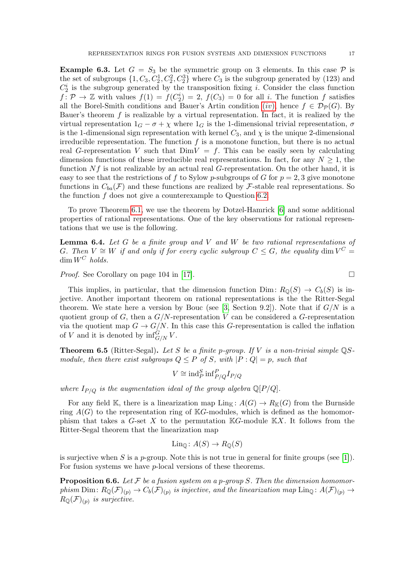<span id="page-16-1"></span>**Example 6.3.** Let  $G = S_3$  be the symmetric group on 3 elements. In this case P is the set of subgroups  $\{1, C_3, C_2^1, C_2^2, C_2^3\}$  where  $C_3$  is the subgroup generated by (123) and  $C_2^i$  is the subgroup generated by the transposition fixing *i*. Consider the class function  $f: \mathcal{P} \to \mathbb{Z}$  with values  $f(1) = f(C_2^i) = 2$ ,  $f(C_3) = 0$  for all i. The function f satisfies all the Borel-Smith conditions and Bauer's Artin condition ([iv](#page-12-3)), hence  $f \in \mathcal{D}_{\mathcal{P}}(G)$ . By Bauer's theorem  $f$  is realizable by a virtual representation. In fact, it is realized by the virtual representation  $1_G - \sigma + \chi$  where  $1_G$  is the 1-dimensional trivial representation,  $\sigma$ is the 1-dimensional sign representation with kernel  $C_3$ , and  $\chi$  is the unique 2-dimensional irreducible representation. The function  $f$  is a monotone function, but there is no actual real G-representation V such that  $DimV = f$ . This can be easily seen by calculating dimension functions of these irreducible real representations. In fact, for any  $N \geq 1$ , the function  $Nf$  is not realizable by an actual real G-representation. On the other hand, it is easy to see that the restrictions of f to Sylow p-subgroups of G for  $p = 2, 3$  give monotone functions in  $C_{ba}(\mathcal{F})$  and these functions are realized by  $\mathcal{F}\text{-stable}$  real representations. So the function  $f$  does not give a counterexample to Question [6.2.](#page-15-2)

To prove Theorem [6.1,](#page-15-0) we use the theorem by Dotzel-Hamrick [\[6\]](#page-20-11) and some additional properties of rational representations. One of the key observations for rational representations that we use is the following.

<span id="page-16-0"></span>**Lemma 6.4.** Let  $G$  be a finite group and  $V$  and  $W$  be two rational representations of G. Then  $V \cong W$  if and only if for every cyclic subgroup  $C \leq G$ , the equality dim  $V^C =$  $\dim W^C$  holds.

*Proof.* See Corollary on page 104 in [\[17\]](#page-21-0).

This implies, in particular, that the dimension function Dim:  $R_{\mathbb{Q}}(S) \to C_b(S)$  is injective. Another important theorem on rational representations is the the Ritter-Segal theorem. We state here a version by Bouc (see [\[3,](#page-20-3) Section 9.2]). Note that if  $G/N$  is a quotient group of G, then a  $G/N$ -representation V can be considered a G-representation via the quotient map  $G \to G/N$ . In this case this G-representation is called the inflation of V and it is denoted by  $\inf_{G/N}^G V$ .

**Theorem 6.5** (Ritter-Segal). Let S be a finite p-group. If V is a non-trivial simple  $\mathbb{Q}S$ module, then there exist subgroups  $Q \leq P$  of S, with  $|P:Q| = p$ , such that

$$
V \cong \text{ind}_{P}^{S} \text{inf}_{P/Q}^{P} I_{P/Q}
$$

where  $I_{P/Q}$  is the augmentation ideal of the group algebra  $\mathbb{Q}[P/Q]$ .

For any field K, there is a linearization map  $\text{Lin}_{\mathbb{K}}: A(G) \to R_{\mathbb{K}}(G)$  from the Burnside ring  $A(G)$  to the representation ring of KG-modules, which is defined as the homomorphism that takes a  $G$ -set X to the permutation  $\mathbb{K}G$ -module  $\mathbb{K}X$ . It follows from the Ritter-Segal theorem that the linearization map

$$
Lin_{\mathbb{Q}}\colon A(S)\to R_{\mathbb{Q}}(S)
$$

is surjective when S is a p-group. Note this is not true in general for finite groups (see [\[1\]](#page-20-13)). For fusion systems we have p-local versions of these theorems.

**Proposition 6.6.** Let F be a fusion system on a p-group S. Then the dimension homomorphism Dim:  $R_{\mathbb{Q}}(\mathcal{F})_{(p)} \to C_b(\mathcal{F})_{(p)}$  is injective, and the linearization map  $\text{Lin}_{\mathbb{Q}}\colon A(\mathcal{F})_{(p)} \to$  $R_{\mathbb{Q}}(\mathcal{F})_{(p)}$  is surjective.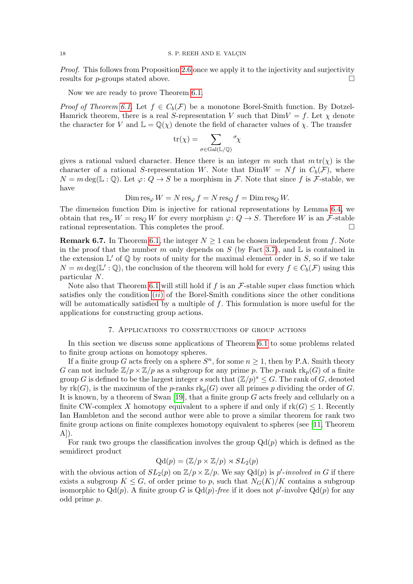Proof. This follows from Proposition [2.6](#page-5-0) once we apply it to the injectivity and surjectivity results for *p*-groups stated above.  $\square$ 

Now we are ready to prove Theorem [6.1.](#page-15-0)

*Proof of Theorem [6.1.](#page-15-0)* Let  $f \in C_b(\mathcal{F})$  be a monotone Borel-Smith function. By Dotzel-Hamrick theorem, there is a real S-representation V such that  $DimV = f$ . Let  $\chi$  denote the character for V and  $\mathbb{L} = \mathbb{Q}(\chi)$  denote the field of character values of  $\chi$ . The transfer

$$
\operatorname{tr}(\chi) = \sum_{\sigma \in \operatorname{Gal}(\mathbb{L}/\mathbb{Q})} \sigma \chi
$$

gives a rational valued character. Hence there is an integer m such that  $m tr(\chi)$  is the character of a rational S-representation W. Note that  $DimW = Nf$  in  $C_b(\mathcal{F})$ , where  $N = m \deg(\mathbb{L} : \mathbb{Q})$ . Let  $\varphi: Q \to S$  be a morphism in F. Note that since f is F-stable, we have

 $\text{Dim} \operatorname{res}_{\varphi} W = N \operatorname{res}_{\varphi} f = N \operatorname{res}_{Q} f = \text{Dim} \operatorname{res}_{Q} W.$ 

The dimension function Dim is injective for rational representations by Lemma [6.4,](#page-16-0) we obtain that  $res_{\varphi} W = res_Q W$  for every morphism  $\varphi: Q \to S$ . Therefore W is an F-stable rational representation. This completes the proof.

**Remark 6.7.** In Theorem [6.1,](#page-15-0) the integer  $N \geq 1$  can be chosen independent from f. Note in the proof that the number m only depends on S (by Fact [3.7\)](#page-7-2), and  $\mathbb L$  is contained in the extension  $\mathbb{L}'$  of  $\mathbb{Q}$  by roots of unity for the maximal element order in S, so if we take  $N = m \deg(\mathbb{L}' : \mathbb{Q})$ , the conclusion of the theorem will hold for every  $f \in C_b(\mathcal{F})$  using this particular N.

Note also that Theorem [6.1](#page-15-0) will still hold if f is an  $\mathcal{F}\text{-stable}$  super class function which satisfies only the condition  $(ii)$  $(ii)$  $(ii)$  of the Borel-Smith conditions since the other conditions will be automatically satisfied by a multiple of  $f$ . This formulation is more useful for the applications for constructing group actions.

## 7. Applications to constructions of group actions

<span id="page-17-0"></span>In this section we discuss some applications of Theorem [6.1](#page-15-0) to some problems related to finite group actions on homotopy spheres.

If a finite group G acts freely on a sphere  $S<sup>n</sup>$ , for some  $n \geq 1$ , then by P.A. Smith theory G can not include  $\mathbb{Z}/p \times \mathbb{Z}/p$  as a subgroup for any prime p. The p-rank  $\text{rk}_p(G)$  of a finite group G is defined to be the largest integer s such that  $(\mathbb{Z}/p)^s \leq G$ . The rank of G, denoted by  $rk(G)$ , is the maximum of the p-ranks  $rk_p(G)$  over all primes p dividing the order of G. It is known, by a theorem of Swan  $[19]$ , that a finite group  $G$  acts freely and cellularly on a finite CW-complex X homotopy equivalent to a sphere if and only if  $rk(G) \leq 1$ . Recently Ian Hambleton and the second author were able to prove a similar theorem for rank two finite group actions on finite complexes homotopy equivalent to spheres (see [\[11,](#page-20-14) Theorem  $A$ ]).

For rank two groups the classification involves the group  $Qd(p)$  which is defined as the semidirect product

$$
Qd(p) = (\mathbb{Z}/p \times \mathbb{Z}/p) \rtimes SL_2(p)
$$

with the obvious action of  $SL_2(p)$  on  $\mathbb{Z}/p \times \mathbb{Z}/p$ . We say  $Qd(p)$  is p'-involved in G if there exists a subgroup  $K \leq G$ , of order prime to p, such that  $N_G(K)/K$  contains a subgroup isomorphic to  $Qd(p)$ . A finite group G is  $Qd(p)$ -free if it does not p'-involve  $Qd(p)$  for any odd prime p.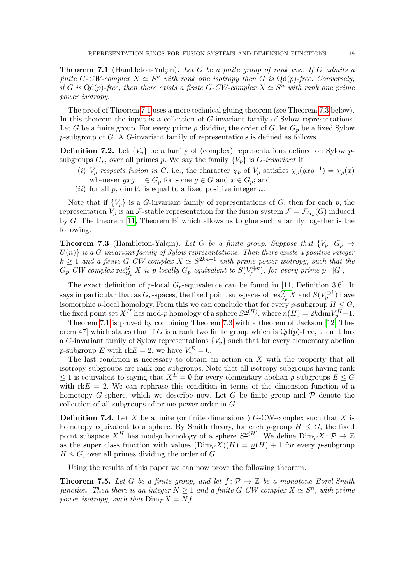<span id="page-18-1"></span>**Theorem 7.1** (Hambleton-Yalçın). Let G be a finite group of rank two. If G admits a finite G-CW-complex  $X \simeq S^n$  with rank one isotropy then G is  $Qd(p)$ -free. Conversely, if G is  $Qd(p)$ -free, then there exists a finite G-CW-complex  $X \simeq S^n$  with rank one prime power isotropy.

The proof of Theorem [7.1](#page-18-1) uses a more technical gluing theorem (see Theorem [7.3](#page-18-2) below). In this theorem the input is a collection of G-invariant family of Sylow representations. Let G be a finite group. For every prime p dividing the order of G, let  $G_p$  be a fixed Sylow p-subgroup of G. A G-invariant family of representations is defined as follows.

**Definition 7.2.** Let  $\{V_p\}$  be a family of (complex) representations defined on Sylow psubgroups  $G_p$ , over all primes p. We say the family  $\{V_p\}$  is G-invariant if

- (i)  $V_p$  respects fusion in G, i.e., the character  $\chi_p$  of  $V_p$  satisfies  $\chi_p(gxg^{-1}) = \chi_p(x)$ whenever  $gxg^{-1} \in G_p$  for some  $g \in G$  and  $x \in G_p$ ; and
- (ii) for all p, dim  $V_p$  is equal to a fixed positive integer n.

Note that if  ${V_p}$  is a G-invariant family of representations of G, then for each p, the representation  $V_p$  is an F-stable representation for the fusion system  $\mathcal{F} = \mathcal{F}_{G_p}(G)$  induced by G. The theorem [\[11,](#page-20-14) Theorem B] which allows us to glue such a family together is the following.

<span id="page-18-2"></span>**Theorem 7.3** (Hambleton-Yalçın). Let G be a finite group. Suppose that  $\{V_p: G_p \to G_p\}$  $U(n)$  is a G-invariant family of Sylow representations. Then there exists a positive integer  $k \geq 1$  and a finite G-CW-complex  $X \simeq S^{2kn-1}$  with prime power isotropy, such that the  $G_p\text{-}CW\text{-}complex\ \text{res}^G_{G_p}X\ \textit{is}\ p\text{-}locally\ G_p\text{-}equivalent\ to\ S(V_p^{\oplus k}),\ \textit{for every prime}\ p\mid |G|,$ 

The exact definition of p-local  $G_p$ -equivalence can be found in [\[11,](#page-20-14) Definition 3.6]. It says in particular that as  $G_p$ -spaces, the fixed point subspaces of  $\text{res}_{G_p}^G X$  and  $S(V_p^{\oplus k})$  have isomorphic p-local homology. From this we can conclude that for every p-subgroup  $H \leq G$ , the fixed point set  $X^H$  has mod-p homology of a sphere  $S^{\underline{n}(H)}$ , where  $\underline{n}(H) = 2k \dim V_p^H - 1$ .

Theorem [7.1](#page-18-1) is proved by combining Theorem [7.3](#page-18-2) with a theorem of Jackson [\[12,](#page-20-15) Theorem 47] which states that if G is a rank two finite group which is  $Qd(p)$ -free, then it has a G-invariant family of Sylow representations  ${V_p}$  such that for every elementary abelian *p*-subgroup E with  $rkE = 2$ , we have  $V_p^E = 0$ .

The last condition is necessary to obtain an action on  $X$  with the property that all isotropy subgroups are rank one subgroups. Note that all isotropy subgroups having rank  $\leq 1$  is equivalent to saying that  $X^E = \emptyset$  for every elementary abelian p-subgroups  $E \leq G$ with  $rkE = 2$ . We can rephrase this condition in terms of the dimension function of a homotopy G-sphere, which we describe now. Let G be finite group and  $P$  denote the collection of all subgroups of prime power order in G.

**Definition 7.4.** Let X be a finite (or finite dimensional)  $G$ -CW-complex such that X is homotopy equivalent to a sphere. By Smith theory, for each p-group  $H \leq G$ , the fixed point subspace  $X^H$  has mod-p homology of a sphere  $S^{\underline{n}(H)}$ . We define  $\text{Dim}_{\mathcal{P}} X\colon \mathcal{P} \to \mathbb{Z}$ as the super class function with values  $(Dim_{\mathcal{P}}X)(H) = n(H) + 1$  for every p-subgroup  $H \leq G$ , over all primes dividing the order of G.

Using the results of this paper we can now prove the following theorem.

<span id="page-18-0"></span>**Theorem 7.5.** Let G be a finite group, and let  $f: \mathcal{P} \to \mathbb{Z}$  be a monotone Borel-Smith function. Then there is an integer  $N \geq 1$  and a finite G-CW-complex  $X \simeq S^n$ , with prime power isotropy, such that  $\text{Dim}_{\mathcal{P}} X = Nf$ .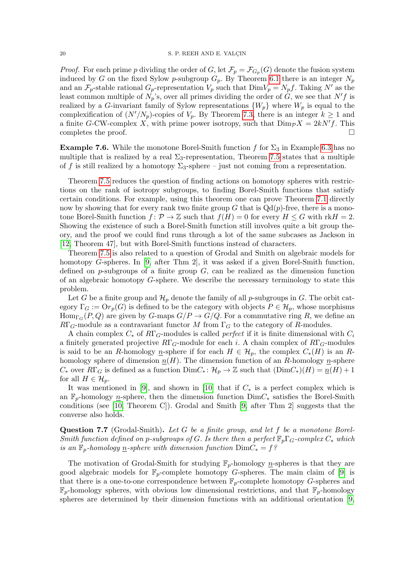*Proof.* For each prime p dividing the order of G, let  $\mathcal{F}_p = \mathcal{F}_{G_p}(G)$  denote the fusion system induced by G on the fixed Sylow p-subgroup  $G_p$ . By Theorem [6.1](#page-15-0) there is an integer  $N_p$ and an  $\mathcal{F}_p$ -stable rational  $G_p$ -representation  $V_p$  such that  $DimV_p = N_p f$ . Taking N' as the least common multiple of  $N_p$ 's, over all primes dividing the order of  $G$ , we see that  $N'f$  is realized by a G-invariant family of Sylow representations  $\{W_p\}$  where  $W_p$  is equal to the complexification of  $(N'/N_p)$ -copies of  $V_p$ . By Theorem [7.3,](#page-18-2) there is an integer  $k \ge 1$  and a finite G-CW-complex X, with prime power isotropy, such that  $\text{Dim}_{\mathcal{P}}X = 2kN'f$ . This completes the proof.  $\Box$ 

**Example 7.6.** While the monotone Borel-Smith function f for  $\Sigma_3$  in Example [6.3](#page-16-1) has no multiple that is realized by a real  $\Sigma_3$ -representation, Theorem [7.5](#page-18-0) states that a multiple of f is still realized by a homotopy  $\Sigma_3$ -sphere – just not coming from a representation.

Theorem [7.5](#page-18-0) reduces the question of finding actions on homotopy spheres with restrictions on the rank of isotropy subgroups, to finding Borel-Smith functions that satisfy certain conditions. For example, using this theorem one can prove Theorem [7.1](#page-18-1) directly now by showing that for every rank two finite group G that is  $Qd(p)$ -free, there is a monotone Borel-Smith function  $f: \mathcal{P} \to \mathbb{Z}$  such that  $f(H) = 0$  for every  $H \leq G$  with rk $H = 2$ . Showing the existence of such a Borel-Smith function still involves quite a bit group theory, and the proof we could find runs through a lot of the same subcases as Jackson in [\[12,](#page-20-15) Theorem 47], but with Borel-Smith functions instead of characters.

Theorem [7.5](#page-18-0) is also related to a question of Grodal and Smith on algebraic models for homotopy G-spheres. In [\[9,](#page-20-2) after Thm 2], it was asked if a given Borel-Smith function, defined on  $p$ -subgroups of a finite group  $G$ , can be realized as the dimension function of an algebraic homotopy G-sphere. We describe the necessary terminology to state this problem.

Let G be a finite group and  $\mathcal{H}_p$  denote the family of all p-subgroups in G. The orbit category  $\Gamma_G := \mathrm{Or}_p(G)$  is defined to be the category with objects  $P \in \mathcal{H}_p$ , whose morphisms  $\text{Hom}_{\Gamma_G}(P,Q)$  are given by G-maps  $G/P \to G/Q$ . For a commutative ring R, we define an  $R\Gamma_G$ -module as a contravariant functor M from  $\Gamma_G$  to the category of R-modules.

A chain complex  $C_*$  of  $R\Gamma_G$ -modules is called *perfect* if it is finite dimensional with  $C_i$ a finitely generated projective  $R\Gamma_G$ -module for each i. A chain complex of  $R\Gamma_G$ -modules is said to be an R-homology n-sphere if for each  $H \in \mathcal{H}_p$ , the complex  $C_*(H)$  is an Rhomology sphere of dimension  $n(H)$ . The dimension function of an R-homology n-sphere  $C_*$  over  $R\Gamma_G$  is defined as a function  $\text{Dim } C_* : \mathcal{H}_p \to \mathbb{Z}$  such that  $(\text{Dim } C_*)(H) = \underline{n}(H) + 1$ for all  $H \in \mathcal{H}_p$ .

It was mentioned in [\[9\]](#page-20-2), and shown in [\[10\]](#page-20-16) that if  $C_*$  is a perfect complex which is an  $\mathbb{F}_p$ -homology n-sphere, then the dimension function  $\text{Dim}_k$  satisfies the Borel-Smith conditions (see [\[10,](#page-20-16) Theorem C]). Grodal and Smith [\[9,](#page-20-2) after Thm 2] suggests that the converse also holds.

<span id="page-19-0"></span>Question 7.7 (Grodal-Smith). Let G be a finite group, and let f be a monotone Borel-Smith function defined on p-subgroups of G. Is there then a perfect  $\mathbb{F}_p\Gamma_q$ -complex  $C_*$  which is an  $\mathbb{F}_p$ -homology <u>n</u>-sphere with dimension function  $DimC_* = f$ ?

The motivation of Grodal-Smith for studying  $\mathbb{F}_p$ -homology  $n$ -spheres is that they are good algebraic models for  $\mathbb{F}_p$ -complete homotopy G-spheres. The main claim of [\[9\]](#page-20-2) is that there is a one-to-one correspondence between  $\mathbb{F}_p$ -complete homotopy G-spheres and  $\mathbb{F}_p$ -homology spheres, with obvious low dimensional restrictions, and that  $\mathbb{F}_p$ -homology spheres are determined by their dimension functions with an additional orientation [\[9,](#page-20-2)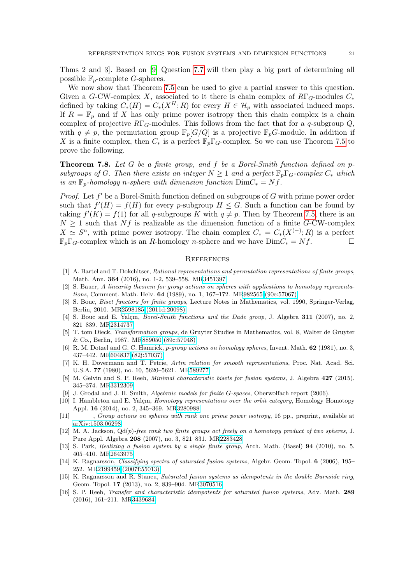Thms 2 and 3]. Based on [\[9\]](#page-20-2) Question [7.7](#page-19-0) will then play a big part of determining all possible  $\mathbb{F}_p$ -complete *G*-spheres.

We now show that Theorem [7.5](#page-18-0) can be used to give a partial answer to this question. Given a G-CW-complex X, associated to it there is chain complex of  $R\Gamma_G$ -modules  $C_*$ defined by taking  $C_*(H) = C_*(X^H; R)$  for every  $H \in \mathcal{H}_p$  with associated induced maps. If  $R = \mathbb{F}_p$  and if X has only prime power isotropy then this chain complex is a chain complex of projective  $R\Gamma_G$ -modules. This follows from the fact that for a q-subgroup  $Q$ , with  $q \neq p$ , the permutation group  $\mathbb{F}_p[G/Q]$  is a projective  $\mathbb{F}_pG$ -module. In addition if X is a finite complex, then  $C_*$  is a perfect  $\mathbb{F}_p\Gamma_q$ -complex. So we can use Theorem [7.5](#page-18-0) to prove the following.

<span id="page-20-1"></span>**Theorem 7.8.** Let G be a finite group, and f be a Borel-Smith function defined on  $p$ subgroups of G. Then there exists an integer  $N \geq 1$  and a perfect  $\mathbb{F}_n\Gamma_G\text{-complex }C_*$  which is an  $\mathbb{F}_p$ -homology <u>n</u>-sphere with dimension function  $\text{Dim }C_* = Nf$ .

*Proof.* Let  $f'$  be a Borel-Smith function defined on subgroups of  $G$  with prime power order such that  $f'(H) = f(H)$  for every p-subgroup  $H \leq G$ . Such a function can be found by taking  $f'(K) = f(1)$  for all q-subgroups K with  $q \neq p$ . Then by Theorem [7.5,](#page-18-0) there is an  $N \geq 1$  such that  $Nf$  is realizable as the dimension function of a finite G-CW-complex  $X \simeq S^n$ , with prime power isotropy. The chain complex  $C_* = C_*(X^{(-)};R)$  is a perfect  $\mathbb{F}_p\Gamma_G$ -complex which is an R-homology n-sphere and we have  $DimC_* = Nf$ .

### **REFERENCES**

- <span id="page-20-13"></span>[1] A. Bartel and T. Dokchitser, Rational representations and permutation representations of finite groups, Math. Ann. 364 (2016), no. 1-2, 539–558. M[R3451397](http://www.ams.org/mathscinet-getitem?mr=3451397)
- <span id="page-20-0"></span>[2] S. Bauer, A linearity theorem for group actions on spheres with applications to homotopy representations, Comment. Math. Helv. 64 (1989), no. 1, 167–172. M[R982565 \(90e:57067\)](http://www.ams.org/mathscinet-getitem?mr=982565)
- <span id="page-20-3"></span>[3] S. Bouc, Biset functors for finite groups, Lecture Notes in Mathematics, vol. 1990, Springer-Verlag, Berlin, 2010. M[R2598185 \(2011d:20098\)](http://www.ams.org/mathscinet-getitem?mr=2598185)
- <span id="page-20-9"></span>[4] S. Bouc and E. Yalcın, *Borel-Smith functions and the Dade group*, J. Algebra  $311$  (2007), no. 2, 821–839. M[R2314737](http://www.ams.org/mathscinet-getitem?mr=2314737)
- <span id="page-20-10"></span>[5] T. tom Dieck, Transformation groups, de Gruyter Studies in Mathematics, vol. 8, Walter de Gruyter & Co., Berlin, 1987. M[R889050 \(89c:57048\)](http://www.ams.org/mathscinet-getitem?mr=889050)
- <span id="page-20-11"></span>[6] R. M. Dotzel and G. C. Hamrick, p-group actions on homology spheres, Invent. Math. 62 (1981), no. 3, 437–442. M[R604837 \(82j:57037\)](http://www.ams.org/mathscinet-getitem?mr=604837)
- <span id="page-20-8"></span>[7] K. H. Dovermann and T. Petrie, Artin relation for smooth representations, Proc. Nat. Acad. Sci. U.S.A. 77 (1980), no. 10, 5620–5621. M[R589277](http://www.ams.org/mathscinet-getitem?mr=589277)
- <span id="page-20-4"></span>[8] M. Gelvin and S. P. Reeh, Minimal characteristic bisets for fusion systems, J. Algebra 427 (2015), 345–374. M[R3312309](http://www.ams.org/mathscinet-getitem?mr=3312309)
- <span id="page-20-2"></span>[9] J. Grodal and J. H. Smith, Algebraic models for finite G-spaces, Oberwolfach report (2006).
- <span id="page-20-16"></span>[10] I. Hambleton and E. Yalçın, *Homotopy representations over the orbit category*, Homology Homotopy Appl. 16 (2014), no. 2, 345–369. M[R3280988](http://www.ams.org/mathscinet-getitem?mr=3280988)
- <span id="page-20-14"></span>[11] , Group actions on spheres with rank one prime power isotropy, 16 pp., preprint, available at [arXiv:1503.06298.](http://front.math.ucdavis.edu/1503.06298)
- <span id="page-20-15"></span>[12] M. A. Jackson, Qd(p)-free rank two finite groups act freely on a homotopy product of two spheres, J. Pure Appl. Algebra 208 (2007), no. 3, 821–831. M[R2283428](http://www.ams.org/mathscinet-getitem?mr=2283428)
- <span id="page-20-12"></span>[13] S. Park, Realizing a fusion system by a single finite group, Arch. Math. (Basel) 94 (2010), no. 5, 405–410. M[R2643975](http://www.ams.org/mathscinet-getitem?mr=2643975)
- <span id="page-20-5"></span>[14] K. Ragnarsson, Classifying spectra of saturated fusion systems, Algebr. Geom. Topol. 6 (2006), 195– 252. M[R2199459 \(2007f:55013\)](http://www.ams.org/mathscinet-getitem?mr=2199459)
- <span id="page-20-7"></span>[15] K. Ragnarsson and R. Stancu, Saturated fusion systems as idempotents in the double Burnside ring, Geom. Topol. 17 (2013), no. 2, 839–904. M[R3070516](http://www.ams.org/mathscinet-getitem?mr=3070516)
- <span id="page-20-6"></span>[16] S. P. Reeh, Transfer and characteristic idempotents for saturated fusion systems, Adv. Math. 289 (2016), 161–211. M[R3439684](http://www.ams.org/mathscinet-getitem?mr=3439684)